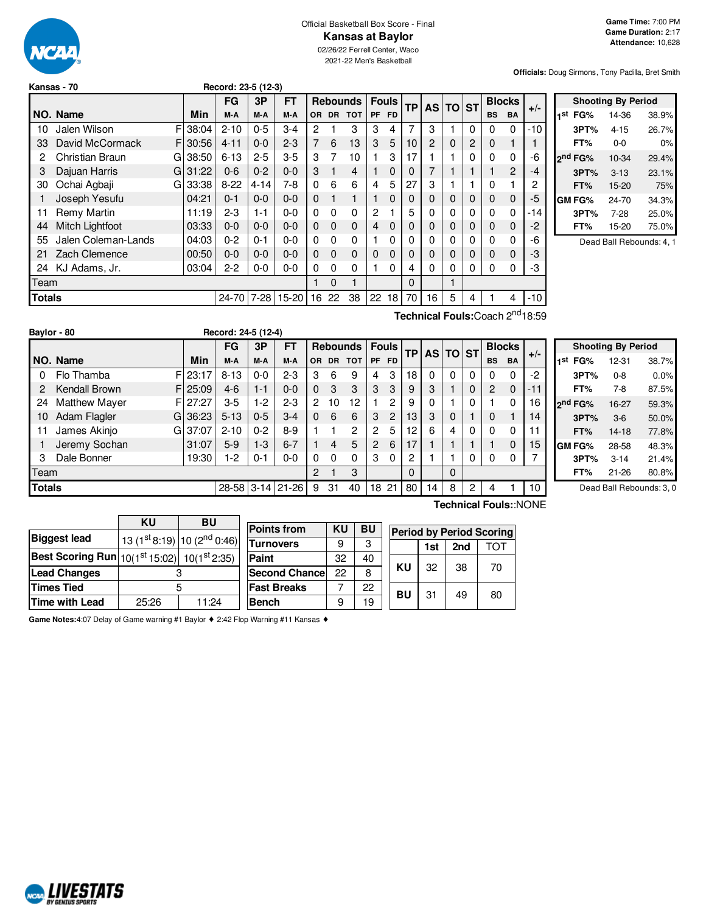

#### Official Basketball Box Score - Final **Kansas at Baylor**

02/26/22 Ferrell Center, Waco 2021-22 Men's Basketball

**Officials:** Doug Sirmons, Tony Padilla, Bret Smith

| Kansas - 70 | Record: 23-5 (12-3) |
|-------------|---------------------|
|             |                     |

|               |                     |          | FG        | 3P       | FT      |          |          | <b>Rebounds</b> | <b>Fouls</b>   |           | <b>TP</b> | <b>AS</b> | <b>TO</b> | <b>ST</b> |             | <b>Blocks</b>  | $+/-$          |
|---------------|---------------------|----------|-----------|----------|---------|----------|----------|-----------------|----------------|-----------|-----------|-----------|-----------|-----------|-------------|----------------|----------------|
|               | NO. Name            | Min      | M-A       | M-A      | M-A     | OR.      |          | DR TOT          | PF             | <b>FD</b> |           |           |           |           | <b>BS</b>   | <b>BA</b>      |                |
| 10            | Jalen Wilson<br>FI  | 38:04    | $2 - 10$  | $0 - 5$  | $3-4$   | 2        |          | 3               | 3              | 4         | 7         | 3         |           | $\Omega$  | 0           | $\Omega$       | -10            |
| 33            | David McCormack     | FI30:56  | $4 - 11$  | $0 - 0$  | $2 - 3$ | 7        | 6        | 13              | 3              | 5         | 10        | 2         | $\Omega$  | 2         | $\Omega$    |                | 1              |
| 2             | Christian Braun     | GI 38:50 | $6 - 13$  | $2 - 5$  | $3-5$   | 3        | 7        | 10              | 1              | 3         | 17        |           |           | 0         | 0           | 0              | -6             |
| 3             | Dajuan Harris       | G131:22  | $0 - 6$   | $0 - 2$  | $0 - 0$ | 3        | 1        | 4               | 1              | 0         | 0         |           |           | 1         |             | $\overline{2}$ | -4             |
| 30            | Ochai Agbaji        | G 33:38  | $8 - 22$  | $4 - 14$ | $7-8$   | 0        | 6        | 6               | 4              | 5         | 27        | 3         |           |           | $\Omega$    |                | $\overline{c}$ |
|               | Joseph Yesufu       | 04:21    | $0 - 1$   | $0 - 0$  | $0 - 0$ | $\Omega$ | 1        | 1               | 1              | 0         | 0         | 0         | $\Omega$  | $\Omega$  | $\Omega$    | $\Omega$       | -5             |
| 11            | Remy Martin         | 11:19    | $2-3$     | $1 - 1$  | $0 - 0$ | $\Omega$ | $\Omega$ | 0               | 2              |           | 5         | 0         | $\Omega$  | 0         | $\Omega$    | $\Omega$       | $-14$          |
| 44            | Mitch Lightfoot     | 03:33    | $0 - 0$   | $0 - 0$  | $0 - 0$ | $\Omega$ | 0        | $\Omega$        | $\overline{4}$ | $\Omega$  | 0         | $\Omega$  | $\Omega$  | $\Omega$  | $\mathbf 0$ | $\Omega$       | $-2$           |
| 55            | Jalen Coleman-Lands | 04:03    | $0 - 2$   | $0 - 1$  | $0 - 0$ | 0        | 0        | 0               |                | 0         | 0         | 0         | $\Omega$  | 0         | $\Omega$    | 0              | -6             |
| 21            | Zach Clemence       | 00:50    | $0 - 0$   | $0 - 0$  | $0 - 0$ | $\Omega$ | 0        | $\Omega$        | $\Omega$       | $\Omega$  | $\Omega$  | 0         | $\Omega$  | $\Omega$  | $\Omega$    | $\Omega$       | -3             |
| 24            | KJ Adams, Jr.       | 03:04    | 2-2       | $0-0$    | $0 - 0$ | 0        | 0        | $\Omega$        |                | 0         | 4         | 0         | 0         | $\Omega$  | 0           | $\Omega$       | -3             |
| Team          |                     |          |           |          |         |          | $\Omega$ | 1               |                |           | $\Omega$  |           |           |           |             |                |                |
| <b>Totals</b> |                     |          | $24 - 70$ | $7-28$   | 15-20   | 16       | 22       | 38              | 22             | 18        | 70        | 16        | 5         | 4         |             | 4              | $-10$          |
|               |                     |          |           |          |         |          |          |                 |                |           |           |           |           |           |             |                |                |

| <b>Shooting By Period</b> |                     |          |       |  |  |  |  |  |
|---------------------------|---------------------|----------|-------|--|--|--|--|--|
| 1st                       | FG%                 | 14-36    | 38.9% |  |  |  |  |  |
|                           | 3PT%                | $4 - 15$ | 26.7% |  |  |  |  |  |
|                           | FT%                 | $0 - 0$  | 0%    |  |  |  |  |  |
|                           | 2 <sup>nd</sup> FG% | 10-34    | 29.4% |  |  |  |  |  |
|                           | 3PT%                | $3 - 13$ | 23.1% |  |  |  |  |  |
|                           | FT%                 | 15-20    | 75%   |  |  |  |  |  |
|                           | <b>GM FG%</b>       | 24-70    | 34.3% |  |  |  |  |  |
|                           | 3PT%                | $7 - 28$ | 25.0% |  |  |  |  |  |
|                           | FT%                 | 15-20    | 75.0% |  |  |  |  |  |
|                           |                     |          |       |  |  |  |  |  |

Dead Ball Rebounds: 4, 1

|      |                      |          |                     |         |           |                |           |                 |              |              |           |          |          |   |               |           | Technical Fouls: Coach 2 <sup>nd</sup> 18:59 |  |
|------|----------------------|----------|---------------------|---------|-----------|----------------|-----------|-----------------|--------------|--------------|-----------|----------|----------|---|---------------|-----------|----------------------------------------------|--|
|      | Baylor - 80          |          | Record: 24-5 (12-4) |         |           |                |           |                 |              |              |           |          |          |   |               |           |                                              |  |
|      |                      |          | FG                  | 3P      | <b>FT</b> |                |           | <b>Rebounds</b> |              | <b>Fouls</b> | <b>TP</b> |          | AS TO ST |   | <b>Blocks</b> |           |                                              |  |
|      | NO. Name             | Min      | M-A                 | M-A     | M-A       | OR.            | <b>DR</b> | <b>TOT</b>      | <b>PF</b>    | <b>FD</b>    |           |          |          |   | <b>BS</b>     | <b>BA</b> | $+/-$                                        |  |
| 0    | Flo Thamba           | FI 23:17 | $8 - 13$            | $0 - 0$ | $2 - 3$   | 3              | 6         | 9               | 4            | 3            | 18        | $\Omega$ | 0        | 0 | 0             | 0         | $-2$                                         |  |
| 2    | Kendall Brown        | F125:09  | $4-6$               | $1 - 1$ | $0 - 0$   | $\mathbf 0$    | 3         | 3               | 3            | 3            | 9         | 3        |          | 0 | 2             | 0         | $-11$                                        |  |
| 24   | <b>Matthew Mayer</b> | FI 27:27 | $3-5$               | $1-2$   | $2 - 3$   | $\overline{2}$ | 10        | 12              |              | 2            | 9         |          |          | 0 |               | 0         | 16                                           |  |
| 10   | Adam Flagler         | G 36:23  | $5 - 13$            | $0 - 5$ | $3 - 4$   | $\Omega$       | 6         | 6               | 3            | 2            | 13        | 3        | $\Omega$ |   | $\Omega$      | 1         | 14                                           |  |
| 11   | James Akinjo         | GI 37:07 | $2 - 10$            | $0 - 2$ | $8 - 9$   |                |           | 2               | 2            | 5            | 12        | 6        | 4        | 0 | $\Omega$      | 0         | 11                                           |  |
|      | Jeremy Sochan        | 31:07    | $5-9$               | $1-3$   | $6 - 7$   |                | 4         | 5               | $\mathbf{2}$ | 6            | 17        |          |          |   |               | 0         | 15                                           |  |
| з    | Dale Bonner          | 19:30    | 1-2                 | $0 - 1$ | $0 - 0$   | 0              | $\Omega$  | $\Omega$        | 3            | $\Omega$     | 2         |          |          | 0 | 0             | 0         |                                              |  |
| Team |                      |          |                     |         |           | 2              |           | 3               |              |              | $\Omega$  |          | 0        |   |               |           |                                              |  |

**Totals** 28-58 3-14 21-26 9 31 40 18 21 80 14 8 2 4 1 10

|     |                     | <b>Shooting By Period</b> |       |
|-----|---------------------|---------------------------|-------|
| 1st | FG%                 | 12-31                     | 38.7% |
|     | 3PT%                | $0 - 8$                   | 0.0%  |
|     | FT%                 | 7-8                       | 87.5% |
|     | 2 <sup>nd</sup> FG% | 16-27                     | 59.3% |
|     | 3PT%                | $3-6$                     | 50.0% |
|     | FT%                 | 14-18                     | 77.8% |
|     | GM FG%              | 28-58                     | 48.3% |
|     | 3PT%                | $3 - 14$                  | 21.4% |
|     | FT%                 | 21-26                     | 80.8% |

Dead Ball Rebounds: 3, 0

|                                                                          | ΚU    | BU                                                  |                       |           |           |                                 |     |     |    |
|--------------------------------------------------------------------------|-------|-----------------------------------------------------|-----------------------|-----------|-----------|---------------------------------|-----|-----|----|
|                                                                          |       |                                                     | <b>Points from</b>    | <b>KU</b> | <b>BU</b> | <b>Period by Period Scoring</b> |     |     |    |
| <b>Biggest lead</b>                                                      |       | 13 (1 <sup>st</sup> 8:19) 10 (2 <sup>nd</sup> 0:46) | <b>Turnovers</b>      | 9         | 3         |                                 | 1st | 2nd | רס |
| <b>Best Scoring Run</b> $ 10(1^{\text{st}}15:02)  10(1^{\text{st}}2:35)$ |       |                                                     | <b>Paint</b>          | 32        | 40        |                                 |     |     |    |
| <b>Lead Changes</b>                                                      |       |                                                     | <b>Second Chancel</b> | 22        | 8         | KU                              | 32  | 38  | 70 |
| <b>Times Tied</b>                                                        |       |                                                     | <b>Fast Breaks</b>    |           | 22        | BU                              | 31  | 49  | 80 |
| Time with Lead                                                           | 25:26 | 11:24                                               | <b>Bench</b>          | 9         | 19        |                                 |     |     |    |

**Game Notes:**4:07 Delay of Game warning #1 Baylor ♦ 2:42 Flop Warning #11 Kansas ♦

# **NORD LIVESTATS**

**Technical Fouls:**:NONE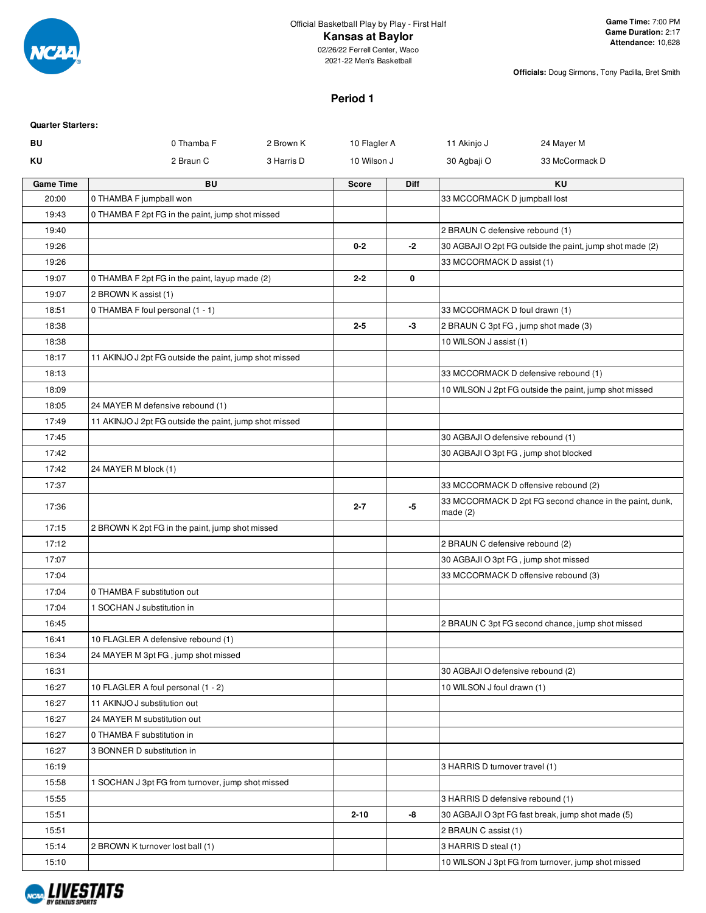

**Officials:** Doug Sirmons, Tony Padilla, Bret Smith

# **Period 1**

| <b>Quarter Starters:</b> |                                                        |            |              |      |                                                          |                                                         |  |  |  |
|--------------------------|--------------------------------------------------------|------------|--------------|------|----------------------------------------------------------|---------------------------------------------------------|--|--|--|
| BU                       | 0 Thamba F                                             | 2 Brown K  | 10 Flagler A |      | 11 Akinjo J                                              | 24 Mayer M                                              |  |  |  |
| ΚU                       | 2 Braun C                                              | 3 Harris D | 10 Wilson J  |      | 30 Agbaji O                                              | 33 McCormack D                                          |  |  |  |
| <b>Game Time</b>         | <b>BU</b>                                              |            | <b>Score</b> | Diff |                                                          | KU                                                      |  |  |  |
| 20:00                    | 0 THAMBA F jumpball won                                |            |              |      | 33 MCCORMACK D jumpball lost                             |                                                         |  |  |  |
| 19:43                    | 0 THAMBA F 2pt FG in the paint, jump shot missed       |            |              |      |                                                          |                                                         |  |  |  |
| 19:40                    |                                                        |            |              |      | 2 BRAUN C defensive rebound (1)                          |                                                         |  |  |  |
| 19:26                    |                                                        |            | $0 - 2$      | $-2$ | 30 AGBAJI O 2pt FG outside the paint, jump shot made (2) |                                                         |  |  |  |
| 19:26                    |                                                        |            |              |      | 33 MCCORMACK D assist (1)                                |                                                         |  |  |  |
| 19:07                    | 0 THAMBA F 2pt FG in the paint, layup made (2)         |            | $2 - 2$      | 0    |                                                          |                                                         |  |  |  |
| 19:07                    | 2 BROWN K assist (1)                                   |            |              |      |                                                          |                                                         |  |  |  |
| 18:51                    | 0 THAMBA F foul personal (1 - 1)                       |            |              |      | 33 MCCORMACK D foul drawn (1)                            |                                                         |  |  |  |
| 18:38                    |                                                        |            | $2 - 5$      | -3   | 2 BRAUN C 3pt FG, jump shot made (3)                     |                                                         |  |  |  |
| 18:38                    |                                                        |            |              |      | 10 WILSON J assist (1)                                   |                                                         |  |  |  |
| 18:17                    | 11 AKINJO J 2pt FG outside the paint, jump shot missed |            |              |      |                                                          |                                                         |  |  |  |
| 18:13                    |                                                        |            |              |      |                                                          | 33 MCCORMACK D defensive rebound (1)                    |  |  |  |
| 18:09                    |                                                        |            |              |      |                                                          | 10 WILSON J 2pt FG outside the paint, jump shot missed  |  |  |  |
| 18:05                    | 24 MAYER M defensive rebound (1)                       |            |              |      |                                                          |                                                         |  |  |  |
| 17:49<br>17:45           | 11 AKINJO J 2pt FG outside the paint, jump shot missed |            |              |      | 30 AGBAJI O defensive rebound (1)                        |                                                         |  |  |  |
| 17:42                    |                                                        |            |              |      |                                                          |                                                         |  |  |  |
| 17:42                    | 24 MAYER M block (1)                                   |            |              |      | 30 AGBAJI O 3pt FG, jump shot blocked                    |                                                         |  |  |  |
| 17:37                    |                                                        |            |              |      |                                                          | 33 MCCORMACK D offensive rebound (2)                    |  |  |  |
| 17:36                    |                                                        |            | $2 - 7$      | -5   | made $(2)$                                               | 33 MCCORMACK D 2pt FG second chance in the paint, dunk, |  |  |  |
| 17:15                    | 2 BROWN K 2pt FG in the paint, jump shot missed        |            |              |      |                                                          |                                                         |  |  |  |
| 17:12                    |                                                        |            |              |      | 2 BRAUN C defensive rebound (2)                          |                                                         |  |  |  |
| 17:07                    |                                                        |            |              |      | 30 AGBAJI O 3pt FG, jump shot missed                     |                                                         |  |  |  |
| 17:04                    |                                                        |            |              |      |                                                          | 33 MCCORMACK D offensive rebound (3)                    |  |  |  |
| 17:04                    | 0 THAMBA F substitution out                            |            |              |      |                                                          |                                                         |  |  |  |
| 17:04                    | 1 SOCHAN J substitution in                             |            |              |      |                                                          |                                                         |  |  |  |
| 16:45                    |                                                        |            |              |      |                                                          | 2 BRAUN C 3pt FG second chance, jump shot missed        |  |  |  |
| 16:41                    | 10 FLAGLER A defensive rebound (1)                     |            |              |      |                                                          |                                                         |  |  |  |
| 16:34                    | 24 MAYER M 3pt FG, jump shot missed                    |            |              |      |                                                          |                                                         |  |  |  |
| 16:31                    |                                                        |            |              |      | 30 AGBAJI O defensive rebound (2)                        |                                                         |  |  |  |
| 16:27                    | 10 FLAGLER A foul personal (1 - 2)                     |            |              |      | 10 WILSON J foul drawn (1)                               |                                                         |  |  |  |
| 16:27                    | 11 AKINJO J substitution out                           |            |              |      |                                                          |                                                         |  |  |  |
| 16:27                    | 24 MAYER M substitution out                            |            |              |      |                                                          |                                                         |  |  |  |
| 16:27                    | 0 THAMBA F substitution in                             |            |              |      |                                                          |                                                         |  |  |  |
| 16:27                    | 3 BONNER D substitution in                             |            |              |      |                                                          |                                                         |  |  |  |
| 16:19                    |                                                        |            |              |      | 3 HARRIS D turnover travel (1)                           |                                                         |  |  |  |
| 15:58                    | 1 SOCHAN J 3pt FG from turnover, jump shot missed      |            |              |      |                                                          |                                                         |  |  |  |
| 15:55                    |                                                        |            |              |      | 3 HARRIS D defensive rebound (1)                         |                                                         |  |  |  |
| 15:51                    |                                                        |            | $2 - 10$     | -8   |                                                          | 30 AGBAJI O 3pt FG fast break, jump shot made (5)       |  |  |  |
| 15:51                    |                                                        |            |              |      | 2 BRAUN C assist (1)                                     |                                                         |  |  |  |
| 15:14                    | 2 BROWN K turnover lost ball (1)                       |            |              |      | 3 HARRIS D steal (1)                                     |                                                         |  |  |  |
| 15:10                    |                                                        |            |              |      |                                                          | 10 WILSON J 3pt FG from turnover, jump shot missed      |  |  |  |

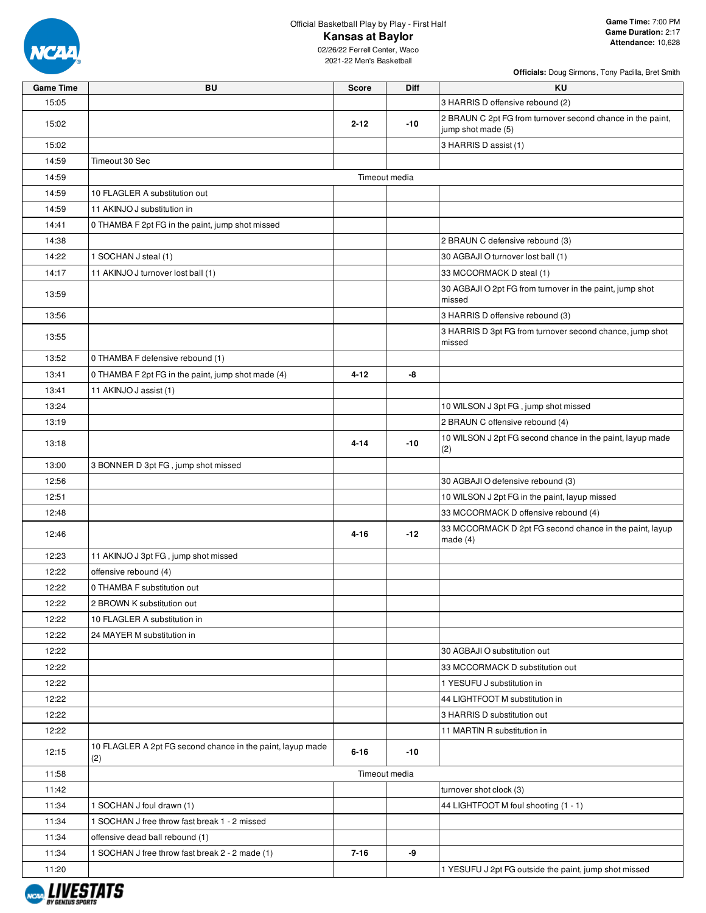

02/26/22 Ferrell Center, Waco 2021-22 Men's Basketball

| <b>Game Time</b> | <b>BU</b>                                                         | <b>Score</b>  | <b>Diff</b> | KU                                                                               |
|------------------|-------------------------------------------------------------------|---------------|-------------|----------------------------------------------------------------------------------|
| 15:05            |                                                                   |               |             | 3 HARRIS D offensive rebound (2)                                                 |
| 15:02            |                                                                   | $2 - 12$      | $-10$       | 2 BRAUN C 2pt FG from turnover second chance in the paint,<br>jump shot made (5) |
| 15:02            |                                                                   |               |             | 3 HARRIS D assist (1)                                                            |
| 14:59            | Timeout 30 Sec                                                    |               |             |                                                                                  |
| 14:59            |                                                                   | Timeout media |             |                                                                                  |
| 14:59            | 10 FLAGLER A substitution out                                     |               |             |                                                                                  |
| 14:59            | 11 AKINJO J substitution in                                       |               |             |                                                                                  |
| 14:41            | 0 THAMBA F 2pt FG in the paint, jump shot missed                  |               |             |                                                                                  |
| 14:38            |                                                                   |               |             | 2 BRAUN C defensive rebound (3)                                                  |
| 14:22            | 1 SOCHAN J steal (1)                                              |               |             | 30 AGBAJI O turnover lost ball (1)                                               |
| 14:17            | 11 AKINJO J turnover lost ball (1)                                |               |             | 33 MCCORMACK D steal (1)                                                         |
| 13:59            |                                                                   |               |             | 30 AGBAJI O 2pt FG from turnover in the paint, jump shot<br>missed               |
| 13:56            |                                                                   |               |             | 3 HARRIS D offensive rebound (3)                                                 |
|                  |                                                                   |               |             | 3 HARRIS D 3pt FG from turnover second chance, jump shot                         |
| 13:55            |                                                                   |               |             | missed                                                                           |
| 13:52            | 0 THAMBA F defensive rebound (1)                                  |               |             |                                                                                  |
| 13:41            | 0 THAMBA F 2pt FG in the paint, jump shot made (4)                | $4 - 12$      | -8          |                                                                                  |
| 13:41            | 11 AKINJO J assist (1)                                            |               |             |                                                                                  |
| 13:24            |                                                                   |               |             | 10 WILSON J 3pt FG, jump shot missed                                             |
| 13:19            |                                                                   |               |             | 2 BRAUN C offensive rebound (4)                                                  |
| 13:18            |                                                                   | $4 - 14$      | $-10$       | 10 WILSON J 2pt FG second chance in the paint, layup made<br>(2)                 |
| 13:00            | 3 BONNER D 3pt FG, jump shot missed                               |               |             |                                                                                  |
| 12:56            |                                                                   |               |             | 30 AGBAJI O defensive rebound (3)                                                |
| 12:51            |                                                                   |               |             | 10 WILSON J 2pt FG in the paint, layup missed                                    |
| 12:48            |                                                                   |               |             | 33 MCCORMACK D offensive rebound (4)                                             |
| 12:46            |                                                                   | $4 - 16$      | -12         | 33 MCCORMACK D 2pt FG second chance in the paint, layup<br>made $(4)$            |
| 12:23            | 11 AKINJO J 3pt FG, jump shot missed                              |               |             |                                                                                  |
| 12:22            | offensive rebound (4)                                             |               |             |                                                                                  |
| 12:22            | 0 THAMBA F substitution out                                       |               |             |                                                                                  |
| 12:22            | 2 BROWN K substitution out                                        |               |             |                                                                                  |
| 12:22            | 10 FLAGLER A substitution in                                      |               |             |                                                                                  |
| 12:22            | 24 MAYER M substitution in                                        |               |             |                                                                                  |
| 12:22            |                                                                   |               |             | 30 AGBAJI O substitution out                                                     |
| 12:22            |                                                                   |               |             | 33 MCCORMACK D substitution out                                                  |
| 12:22            |                                                                   |               |             | 1 YESUFU J substitution in                                                       |
| 12:22            |                                                                   |               |             | 44 LIGHTFOOT M substitution in                                                   |
| 12:22            |                                                                   |               |             | 3 HARRIS D substitution out                                                      |
| 12:22            |                                                                   |               |             | 11 MARTIN R substitution in                                                      |
| 12:15            | 10 FLAGLER A 2pt FG second chance in the paint, layup made<br>(2) | $6 - 16$      | -10         |                                                                                  |
| 11:58            |                                                                   | Timeout media |             |                                                                                  |
| 11:42            |                                                                   |               |             | turnover shot clock (3)                                                          |
| 11:34            | 1 SOCHAN J foul drawn (1)                                         |               |             | 44 LIGHTFOOT M foul shooting (1 - 1)                                             |
| 11:34            | 1 SOCHAN J free throw fast break 1 - 2 missed                     |               |             |                                                                                  |
| 11:34            | offensive dead ball rebound (1)                                   |               |             |                                                                                  |
| 11:34            | 1 SOCHAN J free throw fast break 2 - 2 made (1)                   | $7 - 16$      | -9          |                                                                                  |
| 11:20            |                                                                   |               |             | 1 YESUFU J 2pt FG outside the paint, jump shot missed                            |

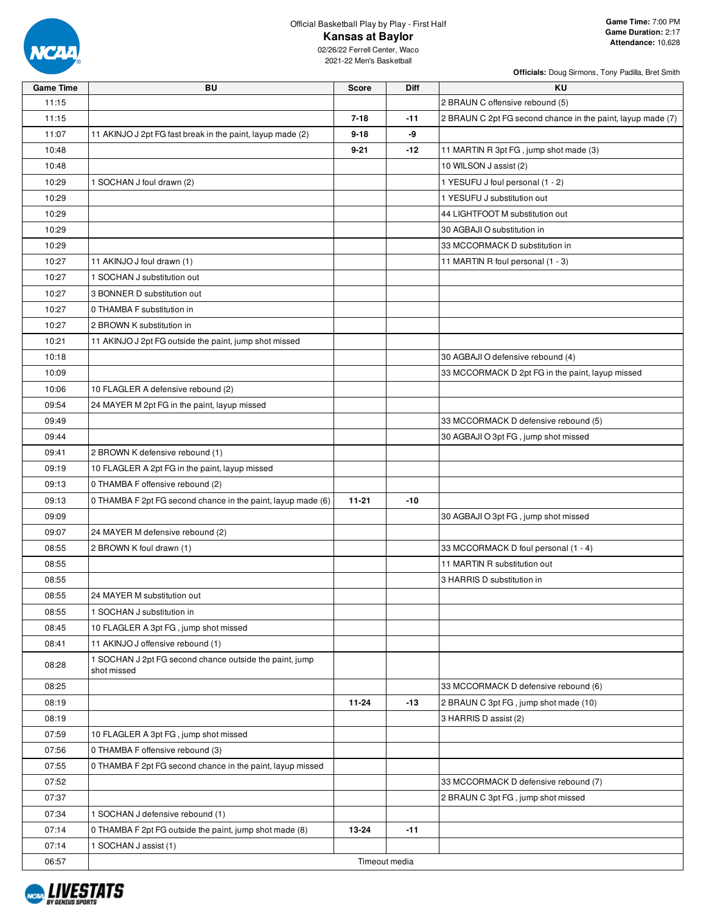

02/26/22 Ferrell Center, Waco 2021-22 Men's Basketball

| <b>Game Time</b> | BU                                                           | <b>Score</b> | <b>Diff</b>   | <b>KU</b>                                                   |
|------------------|--------------------------------------------------------------|--------------|---------------|-------------------------------------------------------------|
| 11:15            |                                                              |              |               | 2 BRAUN C offensive rebound (5)                             |
| 11:15            |                                                              | $7 - 18$     | $-11$         | 2 BRAUN C 2pt FG second chance in the paint, layup made (7) |
| 11:07            | 11 AKINJO J 2pt FG fast break in the paint, layup made (2)   | $9 - 18$     | -9            |                                                             |
| 10:48            |                                                              | $9 - 21$     | $-12$         | 11 MARTIN R 3pt FG, jump shot made (3)                      |
| 10:48            |                                                              |              |               | 10 WILSON J assist (2)                                      |
| 10:29            | 1 SOCHAN J foul drawn (2)                                    |              |               | 1 YESUFU J foul personal (1 - 2)                            |
| 10:29            |                                                              |              |               | 1 YESUFU J substitution out                                 |
| 10:29            |                                                              |              |               | 44 LIGHTFOOT M substitution out                             |
| 10:29            |                                                              |              |               | 30 AGBAJI O substitution in                                 |
| 10:29            |                                                              |              |               | 33 MCCORMACK D substitution in                              |
| 10:27            | 11 AKINJO J foul drawn (1)                                   |              |               | 11 MARTIN R foul personal (1 - 3)                           |
| 10:27            | 1 SOCHAN J substitution out                                  |              |               |                                                             |
| 10:27            | 3 BONNER D substitution out                                  |              |               |                                                             |
| 10:27            | 0 THAMBA F substitution in                                   |              |               |                                                             |
| 10:27            | 2 BROWN K substitution in                                    |              |               |                                                             |
| 10:21            | 11 AKINJO J 2pt FG outside the paint, jump shot missed       |              |               |                                                             |
| 10:18            |                                                              |              |               | 30 AGBAJI O defensive rebound (4)                           |
| 10:09            |                                                              |              |               | 33 MCCORMACK D 2pt FG in the paint, layup missed            |
| 10:06            | 10 FLAGLER A defensive rebound (2)                           |              |               |                                                             |
| 09:54            | 24 MAYER M 2pt FG in the paint, layup missed                 |              |               |                                                             |
| 09:49            |                                                              |              |               | 33 MCCORMACK D defensive rebound (5)                        |
| 09:44            |                                                              |              |               | 30 AGBAJI O 3pt FG, jump shot missed                        |
| 09:41            | 2 BROWN K defensive rebound (1)                              |              |               |                                                             |
| 09:19            | 10 FLAGLER A 2pt FG in the paint, layup missed               |              |               |                                                             |
| 09:13            | 0 THAMBA F offensive rebound (2)                             |              |               |                                                             |
| 09:13            | 0 THAMBA F 2pt FG second chance in the paint, layup made (6) | $11 - 21$    | $-10$         |                                                             |
| 09:09            |                                                              |              |               | 30 AGBAJI O 3pt FG, jump shot missed                        |
| 09:07            | 24 MAYER M defensive rebound (2)                             |              |               |                                                             |
| 08:55            | 2 BROWN K foul drawn (1)                                     |              |               | 33 MCCORMACK D foul personal (1 - 4)                        |
| 08:55            |                                                              |              |               | 11 MARTIN R substitution out                                |
| 08:55            |                                                              |              |               | 3 HARRIS D substitution in                                  |
| 08:55            | 24 MAYER M substitution out                                  |              |               |                                                             |
| 08:55            | 1 SOCHAN J substitution in                                   |              |               |                                                             |
| 08:45            | 10 FLAGLER A 3pt FG, jump shot missed                        |              |               |                                                             |
| 08:41            | 11 AKINJO J offensive rebound (1)                            |              |               |                                                             |
|                  | 1 SOCHAN J 2pt FG second chance outside the paint, jump      |              |               |                                                             |
| 08:28            | shot missed                                                  |              |               |                                                             |
| 08:25            |                                                              |              |               | 33 MCCORMACK D defensive rebound (6)                        |
| 08:19            |                                                              | $11 - 24$    | $-13$         | 2 BRAUN C 3pt FG, jump shot made (10)                       |
| 08:19            |                                                              |              |               | 3 HARRIS D assist (2)                                       |
| 07:59            | 10 FLAGLER A 3pt FG, jump shot missed                        |              |               |                                                             |
| 07:56            | 0 THAMBA F offensive rebound (3)                             |              |               |                                                             |
| 07:55            | 0 THAMBA F 2pt FG second chance in the paint, layup missed   |              |               |                                                             |
| 07:52            |                                                              |              |               | 33 MCCORMACK D defensive rebound (7)                        |
| 07:37            |                                                              |              |               | 2 BRAUN C 3pt FG, jump shot missed                          |
| 07:34            | 1 SOCHAN J defensive rebound (1)                             |              |               |                                                             |
| 07:14            | 0 THAMBA F 2pt FG outside the paint, jump shot made (8)      | 13-24        | $-11$         |                                                             |
| 07:14            | 1 SOCHAN J assist (1)                                        |              |               |                                                             |
| 06:57            |                                                              |              | Timeout media |                                                             |

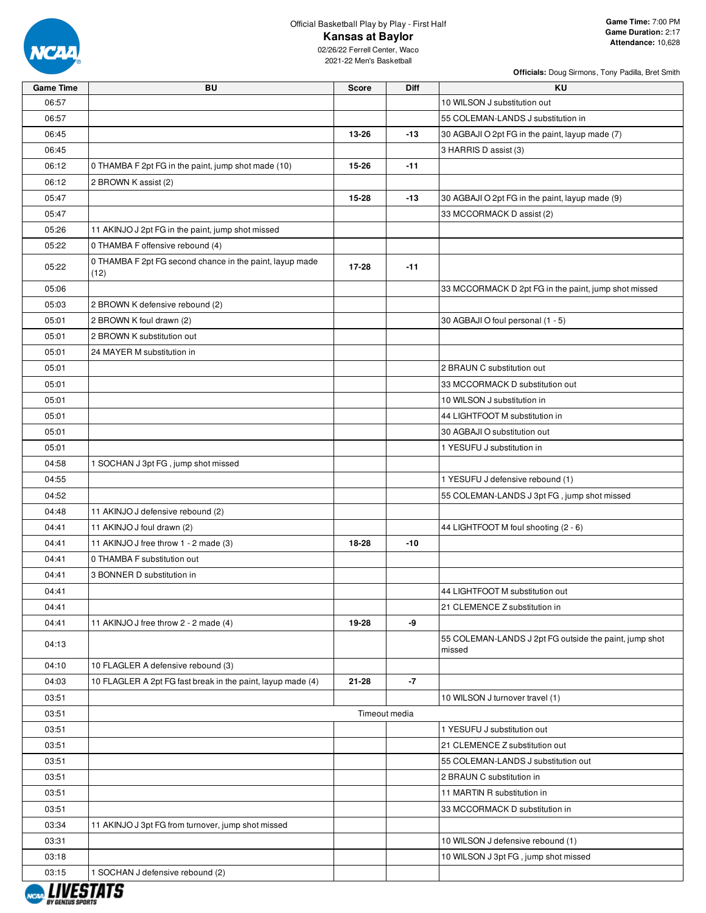

| <b>Officials:</b> Doug Sirmons, Tony Padilla, Bret Smith |  |  |  |
|----------------------------------------------------------|--|--|--|
|                                                          |  |  |  |

| Game Time | BU                                                               | Score     | Diff          | KU.                                                              |
|-----------|------------------------------------------------------------------|-----------|---------------|------------------------------------------------------------------|
| 06:57     |                                                                  |           |               | 10 WILSON J substitution out                                     |
| 06:57     |                                                                  |           |               | 55 COLEMAN-LANDS J substitution in                               |
| 06:45     |                                                                  | 13-26     | $-13$         | 30 AGBAJI O 2pt FG in the paint, layup made (7)                  |
| 06:45     |                                                                  |           |               | 3 HARRIS D assist (3)                                            |
| 06:12     | 0 THAMBA F 2pt FG in the paint, jump shot made (10)              | 15-26     | $-11$         |                                                                  |
| 06:12     | 2 BROWN K assist (2)                                             |           |               |                                                                  |
| 05:47     |                                                                  | 15-28     | $-13$         | 30 AGBAJI O 2pt FG in the paint, layup made (9)                  |
| 05:47     |                                                                  |           |               | 33 MCCORMACK D assist (2)                                        |
| 05:26     | 11 AKINJO J 2pt FG in the paint, jump shot missed                |           |               |                                                                  |
| 05:22     | 0 THAMBA F offensive rebound (4)                                 |           |               |                                                                  |
| 05:22     | 0 THAMBA F 2pt FG second chance in the paint, layup made<br>(12) | 17-28     | $-11$         |                                                                  |
| 05:06     |                                                                  |           |               | 33 MCCORMACK D 2pt FG in the paint, jump shot missed             |
| 05:03     | 2 BROWN K defensive rebound (2)                                  |           |               |                                                                  |
| 05:01     | 2 BROWN K foul drawn (2)                                         |           |               | 30 AGBAJI O foul personal (1 - 5)                                |
| 05:01     | 2 BROWN K substitution out                                       |           |               |                                                                  |
| 05:01     | 24 MAYER M substitution in                                       |           |               |                                                                  |
| 05:01     |                                                                  |           |               | 2 BRAUN C substitution out                                       |
| 05:01     |                                                                  |           |               | 33 MCCORMACK D substitution out                                  |
| 05:01     |                                                                  |           |               | 10 WILSON J substitution in                                      |
| 05:01     |                                                                  |           |               | 44 LIGHTFOOT M substitution in                                   |
| 05:01     |                                                                  |           |               | 30 AGBAJI O substitution out                                     |
| 05:01     |                                                                  |           |               | 1 YESUFU J substitution in                                       |
| 04:58     | 1 SOCHAN J 3pt FG, jump shot missed                              |           |               |                                                                  |
| 04:55     |                                                                  |           |               | 1 YESUFU J defensive rebound (1)                                 |
| 04:52     |                                                                  |           |               | 55 COLEMAN-LANDS J 3pt FG, jump shot missed                      |
| 04:48     | 11 AKINJO J defensive rebound (2)                                |           |               |                                                                  |
| 04:41     | 11 AKINJO J foul drawn (2)                                       |           |               | 44 LIGHTFOOT M foul shooting (2 - 6)                             |
| 04:41     | 11 AKINJO J free throw 1 - 2 made (3)                            | 18-28     | -10           |                                                                  |
| 04:41     | 0 THAMBA F substitution out                                      |           |               |                                                                  |
| 04:41     | 3 BONNER D substitution in                                       |           |               |                                                                  |
| 04:41     |                                                                  |           |               | 44 LIGHTFOOT M substitution out                                  |
| 04:41     |                                                                  |           |               | 21 CLEMENCE Z substitution in                                    |
| 04:41     | 11 AKINJO J free throw 2 - 2 made (4)                            | 19-28     | -9            |                                                                  |
| 04:13     |                                                                  |           |               | 55 COLEMAN-LANDS J 2pt FG outside the paint, jump shot<br>missed |
| 04:10     | 10 FLAGLER A defensive rebound (3)                               |           |               |                                                                  |
| 04:03     | 10 FLAGLER A 2pt FG fast break in the paint, layup made (4)      | $21 - 28$ | $-7$          |                                                                  |
| 03:51     |                                                                  |           |               | 10 WILSON J turnover travel (1)                                  |
| 03:51     |                                                                  |           | Timeout media |                                                                  |
| 03:51     |                                                                  |           |               | 1 YESUFU J substitution out                                      |
| 03:51     |                                                                  |           |               | 21 CLEMENCE Z substitution out                                   |
| 03:51     |                                                                  |           |               | 55 COLEMAN-LANDS J substitution out                              |
| 03:51     |                                                                  |           |               | 2 BRAUN C substitution in                                        |
| 03:51     |                                                                  |           |               | 11 MARTIN R substitution in                                      |
| 03:51     |                                                                  |           |               | 33 MCCORMACK D substitution in                                   |
| 03:34     | 11 AKINJO J 3pt FG from turnover, jump shot missed               |           |               |                                                                  |
| 03:31     |                                                                  |           |               | 10 WILSON J defensive rebound (1)                                |
| 03:18     |                                                                  |           |               | 10 WILSON J 3pt FG, jump shot missed                             |
| 03:15     | 1 SOCHAN J defensive rebound (2)                                 |           |               |                                                                  |
|           | STATS                                                            |           |               |                                                                  |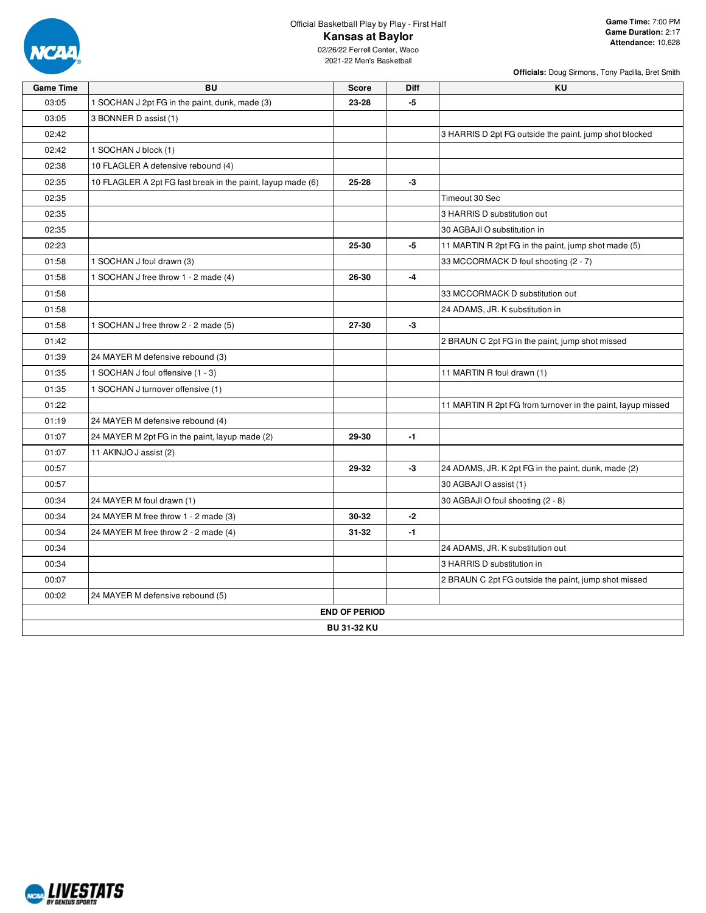

**Officials:** Doug Sirmons, Tony Padilla, Bret Smith

| <b>Game Time</b> | <b>BU</b>                                                   | <b>Score</b>         | Diff | KU                                                          |
|------------------|-------------------------------------------------------------|----------------------|------|-------------------------------------------------------------|
| 03:05            | 1 SOCHAN J 2pt FG in the paint, dunk, made (3)              | 23-28                | $-5$ |                                                             |
| 03:05            | 3 BONNER D assist (1)                                       |                      |      |                                                             |
| 02:42            |                                                             |                      |      | 3 HARRIS D 2pt FG outside the paint, jump shot blocked      |
| 02:42            | 1 SOCHAN J block (1)                                        |                      |      |                                                             |
| 02:38            | 10 FLAGLER A defensive rebound (4)                          |                      |      |                                                             |
| 02:35            | 10 FLAGLER A 2pt FG fast break in the paint, layup made (6) | 25-28                | -3   |                                                             |
| 02:35            |                                                             |                      |      | Timeout 30 Sec                                              |
| 02:35            |                                                             |                      |      | 3 HARRIS D substitution out                                 |
| 02:35            |                                                             |                      |      | 30 AGBAJI O substitution in                                 |
| 02:23            |                                                             | 25-30                | -5   | 11 MARTIN R 2pt FG in the paint, jump shot made (5)         |
| 01:58            | 1 SOCHAN J foul drawn (3)                                   |                      |      | 33 MCCORMACK D foul shooting (2 - 7)                        |
| 01:58            | 1 SOCHAN J free throw 1 - 2 made (4)                        | 26-30                | $-4$ |                                                             |
| 01:58            |                                                             |                      |      | 33 MCCORMACK D substitution out                             |
| 01:58            |                                                             |                      |      | 24 ADAMS, JR. K substitution in                             |
| 01:58            | 1 SOCHAN J free throw 2 - 2 made (5)                        | 27-30                | $-3$ |                                                             |
| 01:42            |                                                             |                      |      | 2 BRAUN C 2pt FG in the paint, jump shot missed             |
| 01:39            | 24 MAYER M defensive rebound (3)                            |                      |      |                                                             |
| 01:35            | 1 SOCHAN J foul offensive (1 - 3)                           |                      |      | 11 MARTIN R foul drawn (1)                                  |
| 01:35            | 1 SOCHAN J turnover offensive (1)                           |                      |      |                                                             |
| 01:22            |                                                             |                      |      | 11 MARTIN R 2pt FG from turnover in the paint, layup missed |
| 01:19            | 24 MAYER M defensive rebound (4)                            |                      |      |                                                             |
| 01:07            | 24 MAYER M 2pt FG in the paint, layup made (2)              | 29-30                | $-1$ |                                                             |
| 01:07            | 11 AKINJO J assist (2)                                      |                      |      |                                                             |
| 00:57            |                                                             | 29-32                | -3   | 24 ADAMS, JR. K 2pt FG in the paint, dunk, made (2)         |
| 00:57            |                                                             |                      |      | 30 AGBAJI O assist (1)                                      |
| 00:34            | 24 MAYER M foul drawn (1)                                   |                      |      | 30 AGBAJI O foul shooting (2 - 8)                           |
| 00:34            | 24 MAYER M free throw 1 - 2 made (3)                        | 30-32                | $-2$ |                                                             |
| 00:34            | 24 MAYER M free throw 2 - 2 made (4)                        | $31 - 32$            | $-1$ |                                                             |
| 00:34            |                                                             |                      |      | 24 ADAMS, JR. K substitution out                            |
| 00:34            |                                                             |                      |      | 3 HARRIS D substitution in                                  |
| 00:07            |                                                             |                      |      | 2 BRAUN C 2pt FG outside the paint, jump shot missed        |
| 00:02            | 24 MAYER M defensive rebound (5)                            |                      |      |                                                             |
|                  |                                                             | <b>END OF PERIOD</b> |      |                                                             |
|                  |                                                             | <b>BU 31-32 KU</b>   |      |                                                             |
|                  |                                                             |                      |      |                                                             |

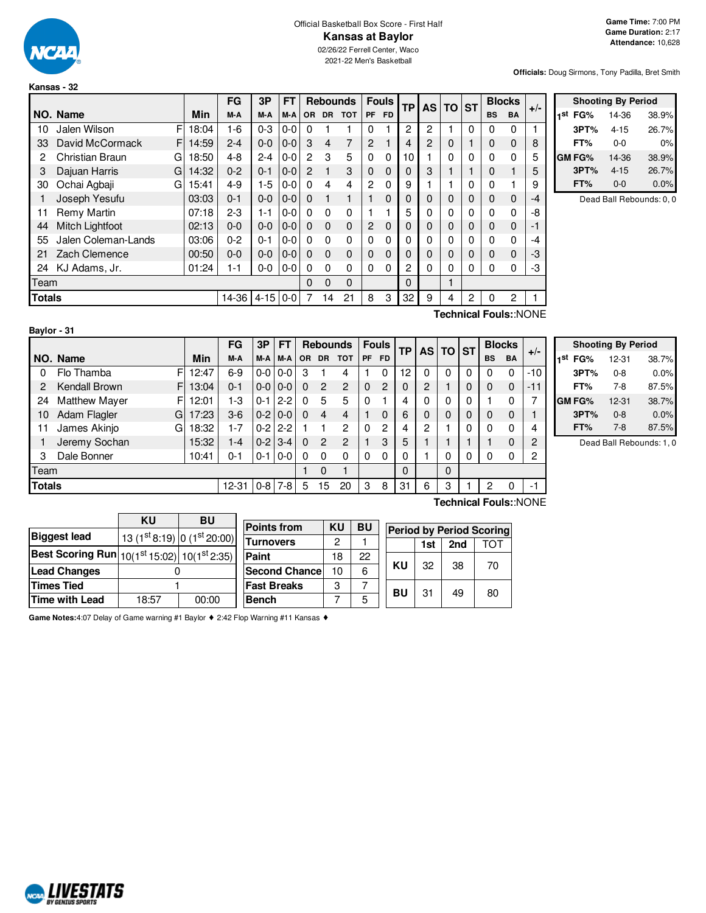

#### Official Basketball Box Score - First Half **Kansas at Baylor** 02/26/22 Ferrell Center, Waco

2021-22 Men's Basketball

**Officials:** Doug Sirmons, Tony Padilla, Bret Smith

|               |                        |   |       | FG      | 3P       | FT      |                | <b>Rebounds</b> |            |                | <b>Fouls</b> | <b>TP</b>   | AS I     | TO          | <b>ST</b> |           | <b>Blocks</b> | $+/-$ |
|---------------|------------------------|---|-------|---------|----------|---------|----------------|-----------------|------------|----------------|--------------|-------------|----------|-------------|-----------|-----------|---------------|-------|
|               | NO. Name               |   | Min   | M-A     | M-A      | M-A     | OR.            | DR.             | <b>TOT</b> | PF             | <b>FD</b>    |             |          |             |           | <b>BS</b> | <b>BA</b>     |       |
| 10            | Jalen Wilson           | F | 18:04 | $1 - 6$ | $0 - 3$  | $0 - 0$ | $\Omega$       |                 |            | $\Omega$       |              | 2           | 2        |             | 0         | 0         | 0             |       |
| 33            | David McCormack        | F | 14:59 | $2 - 4$ | $0-0$    | $0 - 0$ | 3              | $\overline{4}$  | 7          | 2              |              | 4           | 2        | $\mathbf 0$ |           | 0         | $\Omega$      | 8     |
| 2             | <b>Christian Braun</b> | G | 18:50 | $4 - 8$ | $2 - 4$  | $0 - 0$ | $\overline{2}$ | 3               | 5          | $\Omega$       | $\Omega$     | 10          |          | $\mathbf 0$ | 0         | 0         | $\Omega$      | 5     |
| 3             | Dajuan Harris          | G | 14:32 | $0 - 2$ | $0 - 1$  | $0 - 0$ | $\overline{2}$ | 1               | 3          | $\Omega$       | $\Omega$     | 0           | 3        |             |           | 0         |               | 5     |
| 30            | Ochai Agbaji           | G | 15:41 | $4 - 9$ | $1-5$    | $0 - 0$ | $\Omega$       | 4               | 4          | $\overline{c}$ | $\Omega$     | 9           |          |             | 0         | 0         |               | 9     |
|               | Joseph Yesufu          |   | 03:03 | $0 - 1$ | $0 - 0$  | $0 - 0$ | $\Omega$       |                 |            |                | $\Omega$     | $\mathbf 0$ | $\Omega$ | 0           | $\Omega$  | 0         | $\Omega$      | -4    |
| 11            | Remy Martin            |   | 07:18 | $2-3$   | $1 - 1$  | $0 - 0$ | $\Omega$       | $\Omega$        | $\Omega$   |                |              | 5           | 0        | 0           | $\Omega$  | 0         | $\Omega$      | -8    |
| 44            | <b>Mitch Lightfoot</b> |   | 02:13 | $0 - 0$ | $0 - 0$  | $0 - 0$ | $\Omega$       | $\Omega$        | $\Omega$   | 2              | $\Omega$     | $\mathbf 0$ | 0        | 0           | 0         | 0         | $\Omega$      | -1    |
| 55            | Jalen Coleman-Lands    |   | 03:06 | $0 - 2$ | $0 - 1$  | $0 - 0$ | $\Omega$       | $\Omega$        | $\Omega$   | $\Omega$       | $\Omega$     | 0           | 0        | 0           | 0         | 0         | $\Omega$      | -4    |
| 21            | Zach Clemence          |   | 00:50 | $0 - 0$ | $0-0$    | $0 - 0$ | $\Omega$       | $\Omega$        | $\Omega$   | $\Omega$       | $\Omega$     | $\Omega$    | 0        | 0           | 0         | 0         | $\Omega$      | -3    |
| 24            | KJ Adams, Jr.          |   | 01:24 | 1-1     | $0-0$    | $0 - 0$ | $\Omega$       | $\Omega$        | $\Omega$   | $\Omega$       | $\Omega$     | 2           | 0        | $\mathbf 0$ | 0         | 0         | $\Omega$      | -3    |
| Team          |                        |   |       |         |          |         | 0              | 0               | $\Omega$   |                |              | $\Omega$    |          | 1           |           |           |               |       |
| <b>Totals</b> |                        |   |       | 14-36   | $4 - 15$ | $0 - 0$ | 7              | 14              | 21         | 8              | 3            | 32          | 9        | 4           | 2         | 0         | 2             |       |

|            | <b>Shooting By Period</b> |          |       |  |  |  |  |  |  |
|------------|---------------------------|----------|-------|--|--|--|--|--|--|
| 1st<br>FG% |                           | 14-36    | 38.9% |  |  |  |  |  |  |
| 3PT%       |                           | 4-15     | 26.7% |  |  |  |  |  |  |
| FT%        |                           | 0-0      | 0%    |  |  |  |  |  |  |
| GM FG%     |                           | 14-36    | 38.9% |  |  |  |  |  |  |
| 3PT%       |                           | $4 - 15$ | 26.7% |  |  |  |  |  |  |
| FT%        |                           | $0 - 0$  | 0.0%  |  |  |  |  |  |  |

Dead Ball Rebounds: 0, 0

| Baylor - 31 |  |  |
|-------------|--|--|
|             |  |  |

**Technical Fouls:**:NONE

|               |                           |       | FG        | 3Р       | FT                |           |           | <b>Rebounds</b> |              | <b>Fouls</b> | <b>TP</b> | <b>AS</b> | l TO     | <b>ST</b> |             | <b>Blocks</b> |                |
|---------------|---------------------------|-------|-----------|----------|-------------------|-----------|-----------|-----------------|--------------|--------------|-----------|-----------|----------|-----------|-------------|---------------|----------------|
|               | NO. Name                  | Min   | M-A       | $M-A$    | M-A               | <b>OR</b> | <b>DR</b> | <b>TOT</b>      | <b>PF</b>    | <b>FD</b>    |           |           |          |           | <b>BS</b>   | <b>BA</b>     | $+/-$          |
| 0             | Flo Thamba<br>F           | 12:47 | $6-9$     |          | $0 - 0 1 0 - 0$   | З         |           | 4               |              | 0            | 12        | 0         | $\Omega$ | 0         | 0           | 0             | $-10$          |
| 2             | Kendall Brown<br>F        | 13:04 | $0 - 1$   | $0-0$    | $0 - 0$           | 0         | 2         | $\overline{2}$  | $\mathbf{0}$ | 2            | 0         | 2         |          | 0         | $\Omega$    | 0             | $-11$          |
| 24            | F<br><b>Matthew Mayer</b> | 12:01 | 1-3       | $0 - 11$ | $2 - 2$           | 0         | 5         | 5               | 0            |              | 4         | 0         | $\Omega$ | 0         |             | 0             | 7              |
| 10            | Adam Flagler<br>G         | 17:23 | $3-6$     | $0-2$    | $0 - 0$           | $\Omega$  | 4         | 4               |              | 0            | 6         | 0         | $\Omega$ | 0         | $\mathbf 0$ | 0             |                |
| 11            | James Akinjo<br>G         | 18:32 | $1 - 7$   |          | $0 - 2$   2-2     |           |           | $\overline{c}$  | $\Omega$     | 2            | 4         | 2         |          | 0         | 0           | 0             | 4              |
|               | Jeremy Sochan             | 15:32 | 1-4       | $0-2$    | $3 - 4$           | $\Omega$  | 2         | $\mathcal{P}$   |              | 3            | 5         |           |          |           |             | 0             | 2              |
| 3             | Dale Bonner               | 10:41 | $0 - 1$   |          | $0 - 1$   $0 - 0$ | 0         | 0         | 0               | 0            | 0            | 0         |           | $\Omega$ | 0         | 0           | 0             | $\overline{c}$ |
| Team          |                           |       |           |          |                   |           | 0         |                 |              |              | 0         |           | $\Omega$ |           |             |               |                |
| <b>Totals</b> |                           |       | $12 - 31$ |          | $0-8$ 7-8         | 5         | 15        | 20              | 3            | 8            | 31        | 6         | 3        |           | 2           | 0             | $-1$           |
|               | Technical Fouls::NONE     |       |           |          |                   |           |           |                 |              |              |           |           |          |           |             |               |                |

| <b>Shooting By Period</b> |           |       |  |  |  |  |  |  |
|---------------------------|-----------|-------|--|--|--|--|--|--|
| 1 <sup>st</sup> FG%       | $12 - 31$ | 38.7% |  |  |  |  |  |  |
| 3PT%                      | $0 - 8$   | 0.0%  |  |  |  |  |  |  |
| FT%                       | 7-8       | 87.5% |  |  |  |  |  |  |
| GM FG%                    | $12 - 31$ | 38.7% |  |  |  |  |  |  |
| 3PT%                      | $0 - 8$   | 0.0%  |  |  |  |  |  |  |
| FT%                       | $7-8$     | 87.5% |  |  |  |  |  |  |

Dead Ball Rebounds: 1, 0

|                                                         | ΚU                                 | <b>BU</b> |                       |    |    |                                 |     |     |     |  |  |
|---------------------------------------------------------|------------------------------------|-----------|-----------------------|----|----|---------------------------------|-----|-----|-----|--|--|
|                                                         |                                    |           | <b>Points from</b>    | KU | BU | <b>Period by Period Scoring</b> |     |     |     |  |  |
| <b>Biggest lead</b>                                     | $(13 (1st 8:19)   0 (1st 20:00)  $ |           | <b>Turnovers</b>      | っ  |    |                                 |     |     |     |  |  |
|                                                         |                                    |           |                       |    |    |                                 | 1st | 2nd | ТОТ |  |  |
| <b>Best Scoring Run</b> $ 10(1st 15:02)  10(1st 2:35) $ |                                    |           | <b>Paint</b>          | 18 | 22 |                                 |     |     |     |  |  |
| <b>Lead Changes</b>                                     |                                    |           | <b>Second Chancel</b> | 10 | 6  | KU                              | 32  | 38  | 70  |  |  |
| <b>Times Tied</b>                                       |                                    |           | <b>Fast Breaks</b>    | ◠  |    | BU                              | 31  | 49  | 80  |  |  |
| Time with Lead                                          | 18:57                              | 00:00     | <b>Bench</b>          |    |    |                                 |     |     |     |  |  |

**Game Notes:**4:07 Delay of Game warning #1 Baylor ♦ 2:42 Flop Warning #11 Kansas ♦

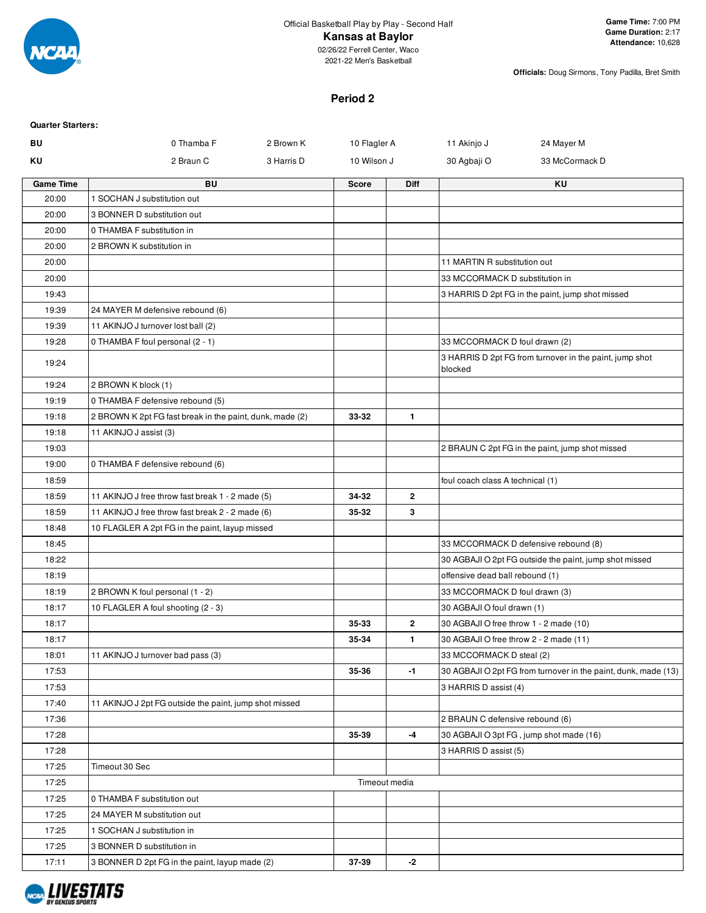

2021-22 Men's Basketball

**Officials:** Doug Sirmons, Tony Padilla, Bret Smith

#### **Period 2**

| <b>Quarter Starters:</b> |                                                          |                           |               |                                        |                                                                |
|--------------------------|----------------------------------------------------------|---------------------------|---------------|----------------------------------------|----------------------------------------------------------------|
| BU                       | 0 Thamba F                                               | 10 Flagler A<br>2 Brown K |               | 11 Akinjo J                            | 24 Mayer M                                                     |
| ΚU                       | 2 Braun C                                                | 3 Harris D<br>10 Wilson J |               | 30 Agbaji O                            | 33 McCormack D                                                 |
| <b>Game Time</b>         | <b>BU</b>                                                | <b>Score</b>              | <b>Diff</b>   |                                        | ΚU                                                             |
| 20:00                    | 1 SOCHAN J substitution out                              |                           |               |                                        |                                                                |
| 20:00                    | 3 BONNER D substitution out                              |                           |               |                                        |                                                                |
| 20:00                    | 0 THAMBA F substitution in                               |                           |               |                                        |                                                                |
| 20:00                    | 2 BROWN K substitution in                                |                           |               |                                        |                                                                |
| 20:00                    |                                                          |                           |               | 11 MARTIN R substitution out           |                                                                |
| 20:00                    |                                                          |                           |               | 33 MCCORMACK D substitution in         |                                                                |
| 19:43                    |                                                          |                           |               |                                        | 3 HARRIS D 2pt FG in the paint, jump shot missed               |
| 19:39                    | 24 MAYER M defensive rebound (6)                         |                           |               |                                        |                                                                |
| 19:39                    | 11 AKINJO J turnover lost ball (2)                       |                           |               |                                        |                                                                |
| 19:28                    | 0 THAMBA F foul personal (2 - 1)                         |                           |               | 33 MCCORMACK D foul drawn (2)          |                                                                |
| 19:24                    |                                                          |                           |               | blocked                                | 3 HARRIS D 2pt FG from turnover in the paint, jump shot        |
| 19:24                    | 2 BROWN K block (1)                                      |                           |               |                                        |                                                                |
| 19:19                    | 0 THAMBA F defensive rebound (5)                         |                           |               |                                        |                                                                |
| 19:18                    | 2 BROWN K 2pt FG fast break in the paint, dunk, made (2) | 33-32                     | $\mathbf{1}$  |                                        |                                                                |
| 19:18                    | 11 AKINJO J assist (3)                                   |                           |               |                                        |                                                                |
| 19:03                    |                                                          |                           |               |                                        | 2 BRAUN C 2pt FG in the paint, jump shot missed                |
| 19:00                    | 0 THAMBA F defensive rebound (6)                         |                           |               |                                        |                                                                |
| 18:59                    |                                                          |                           |               | foul coach class A technical (1)       |                                                                |
| 18:59                    | 11 AKINJO J free throw fast break 1 - 2 made (5)         | 34-32                     | $\mathbf{2}$  |                                        |                                                                |
| 18:59                    | 11 AKINJO J free throw fast break 2 - 2 made (6)         | 35-32                     | 3             |                                        |                                                                |
| 18:48                    | 10 FLAGLER A 2pt FG in the paint, layup missed           |                           |               |                                        |                                                                |
| 18:45                    |                                                          |                           |               |                                        | 33 MCCORMACK D defensive rebound (8)                           |
| 18:22                    |                                                          |                           |               |                                        | 30 AGBAJI O 2pt FG outside the paint, jump shot missed         |
| 18:19                    |                                                          |                           |               | offensive dead ball rebound (1)        |                                                                |
| 18:19                    | 2 BROWN K foul personal (1 - 2)                          |                           |               | 33 MCCORMACK D foul drawn (3)          |                                                                |
| 18:17                    | 10 FLAGLER A foul shooting (2 - 3)                       |                           |               | 30 AGBAJI O foul drawn (1)             |                                                                |
| 18:17                    |                                                          | 35-33                     | $\mathbf{2}$  | 30 AGBAJI O free throw 1 - 2 made (10) |                                                                |
| 18:17                    |                                                          | 35-34                     | 1             | 30 AGBAJI O free throw 2 - 2 made (11) |                                                                |
| 18:01                    | 11 AKINJO J turnover bad pass (3)                        |                           |               | 33 MCCORMACK D steal (2)               |                                                                |
| 17:53                    |                                                          | 35-36                     | $-1$          |                                        | 30 AGBAJI O 2pt FG from turnover in the paint, dunk, made (13) |
| 17:53                    |                                                          |                           |               | 3 HARRIS D assist (4)                  |                                                                |
| 17:40                    | 11 AKINJO J 2pt FG outside the paint, jump shot missed   |                           |               |                                        |                                                                |
| 17:36                    |                                                          |                           |               | 2 BRAUN C defensive rebound (6)        |                                                                |
| 17:28                    |                                                          | 35-39                     | -4            |                                        | 30 AGBAJI O 3pt FG, jump shot made (16)                        |
| 17:28                    |                                                          |                           |               | 3 HARRIS D assist (5)                  |                                                                |
| 17:25                    | Timeout 30 Sec                                           |                           |               |                                        |                                                                |
| 17:25                    |                                                          |                           | Timeout media |                                        |                                                                |
| 17:25                    | 0 THAMBA F substitution out                              |                           |               |                                        |                                                                |
| 17:25                    | 24 MAYER M substitution out                              |                           |               |                                        |                                                                |
| 17:25                    | 1 SOCHAN J substitution in                               |                           |               |                                        |                                                                |
| 17:25                    | 3 BONNER D substitution in                               |                           |               |                                        |                                                                |
| 17:11                    | 3 BONNER D 2pt FG in the paint, layup made (2)           | 37-39                     | -2            |                                        |                                                                |

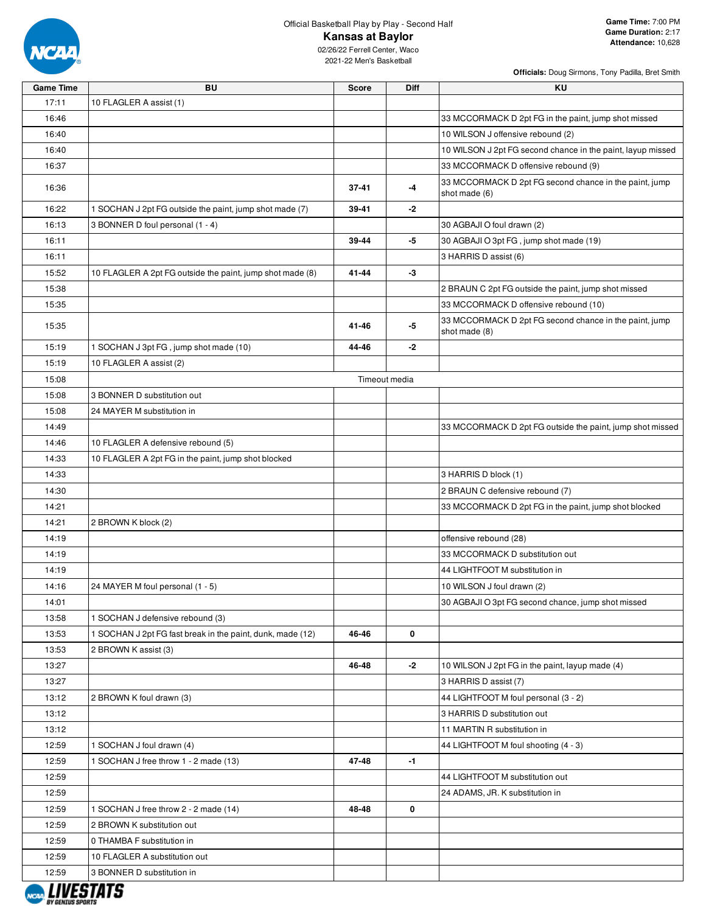

## Official Basketball Play by Play - Second Half

#### **Kansas at Baylor**

02/26/22 Ferrell Center, Waco 2021-22 Men's Basketball

| <b>Game Time</b> | <b>BU</b>                                                  | <b>Score</b> | <b>Diff</b>   | KU                                                                      |
|------------------|------------------------------------------------------------|--------------|---------------|-------------------------------------------------------------------------|
| 17:11            | 10 FLAGLER A assist (1)                                    |              |               |                                                                         |
| 16:46            |                                                            |              |               | 33 MCCORMACK D 2pt FG in the paint, jump shot missed                    |
| 16:40            |                                                            |              |               | 10 WILSON J offensive rebound (2)                                       |
| 16:40            |                                                            |              |               | 10 WILSON J 2pt FG second chance in the paint, layup missed             |
| 16:37            |                                                            |              |               | 33 MCCORMACK D offensive rebound (9)                                    |
| 16:36            |                                                            | $37 - 41$    | -4            | 33 MCCORMACK D 2pt FG second chance in the paint, jump<br>shot made (6) |
| 16:22            | 1 SOCHAN J 2pt FG outside the paint, jump shot made (7)    | 39-41        | $-2$          |                                                                         |
| 16:13            | 3 BONNER D foul personal (1 - 4)                           |              |               | 30 AGBAJI O foul drawn (2)                                              |
| 16:11            |                                                            | 39-44        | -5            | 30 AGBAJI O 3pt FG, jump shot made (19)                                 |
| 16:11            |                                                            |              |               | 3 HARRIS D assist (6)                                                   |
| 15:52            | 10 FLAGLER A 2pt FG outside the paint, jump shot made (8)  | $41 - 44$    | $-3$          |                                                                         |
| 15:38            |                                                            |              |               | 2 BRAUN C 2pt FG outside the paint, jump shot missed                    |
| 15:35            |                                                            |              |               | 33 MCCORMACK D offensive rebound (10)                                   |
| 15:35            |                                                            | $41 - 46$    | -5            | 33 MCCORMACK D 2pt FG second chance in the paint, jump<br>shot made (8) |
| 15:19            | 1 SOCHAN J 3pt FG, jump shot made (10)                     | 44-46        | $-2$          |                                                                         |
| 15:19            | 10 FLAGLER A assist (2)                                    |              |               |                                                                         |
| 15:08            |                                                            |              | Timeout media |                                                                         |
| 15:08            | 3 BONNER D substitution out                                |              |               |                                                                         |
| 15:08            | 24 MAYER M substitution in                                 |              |               |                                                                         |
| 14:49            |                                                            |              |               | 33 MCCORMACK D 2pt FG outside the paint, jump shot missed               |
| 14:46            | 10 FLAGLER A defensive rebound (5)                         |              |               |                                                                         |
| 14:33            | 10 FLAGLER A 2pt FG in the paint, jump shot blocked        |              |               |                                                                         |
| 14:33            |                                                            |              |               | 3 HARRIS D block (1)                                                    |
| 14:30            |                                                            |              |               | 2 BRAUN C defensive rebound (7)                                         |
| 14:21            |                                                            |              |               | 33 MCCORMACK D 2pt FG in the paint, jump shot blocked                   |
| 14:21            | 2 BROWN K block (2)                                        |              |               |                                                                         |
| 14:19            |                                                            |              |               | offensive rebound (28)                                                  |
| 14:19            |                                                            |              |               | 33 MCCORMACK D substitution out                                         |
| 14:19            |                                                            |              |               | 44 LIGHTFOOT M substitution in                                          |
| 14:16            | 24 MAYER M foul personal (1 - 5)                           |              |               | 10 WILSON J foul drawn (2)                                              |
| 14:01            |                                                            |              |               | 30 AGBAJI O 3pt FG second chance, jump shot missed                      |
| 13:58            | 1 SOCHAN J defensive rebound (3)                           |              |               |                                                                         |
| 13:53            | 1 SOCHAN J 2pt FG fast break in the paint, dunk, made (12) | 46-46        | 0             |                                                                         |
| 13:53            | 2 BROWN K assist (3)                                       |              |               |                                                                         |
| 13:27            |                                                            | 46-48        | $-2$          | 10 WILSON J 2pt FG in the paint, layup made (4)                         |
| 13:27            |                                                            |              |               | 3 HARRIS D assist (7)                                                   |
| 13:12            | 2 BROWN K foul drawn (3)                                   |              |               | 44 LIGHTFOOT M foul personal (3 - 2)                                    |
| 13:12            |                                                            |              |               | 3 HARRIS D substitution out                                             |
| 13:12            |                                                            |              |               | 11 MARTIN R substitution in                                             |
| 12:59            | 1 SOCHAN J foul drawn (4)                                  |              |               | 44 LIGHTFOOT M foul shooting (4 - 3)                                    |
| 12:59            | 1 SOCHAN J free throw 1 - 2 made (13)                      | 47-48        | $-1$          |                                                                         |
| 12:59            |                                                            |              |               | 44 LIGHTFOOT M substitution out                                         |
| 12:59            |                                                            |              |               | 24 ADAMS, JR. K substitution in                                         |
| 12:59            | 1 SOCHAN J free throw 2 - 2 made (14)                      | 48-48        | 0             |                                                                         |
| 12:59            | 2 BROWN K substitution out                                 |              |               |                                                                         |
| 12:59            | 0 THAMBA F substitution in                                 |              |               |                                                                         |
| 12:59            | 10 FLAGLER A substitution out                              |              |               |                                                                         |
| 12:59            | 3 BONNER D substitution in                                 |              |               |                                                                         |
|                  |                                                            |              |               |                                                                         |

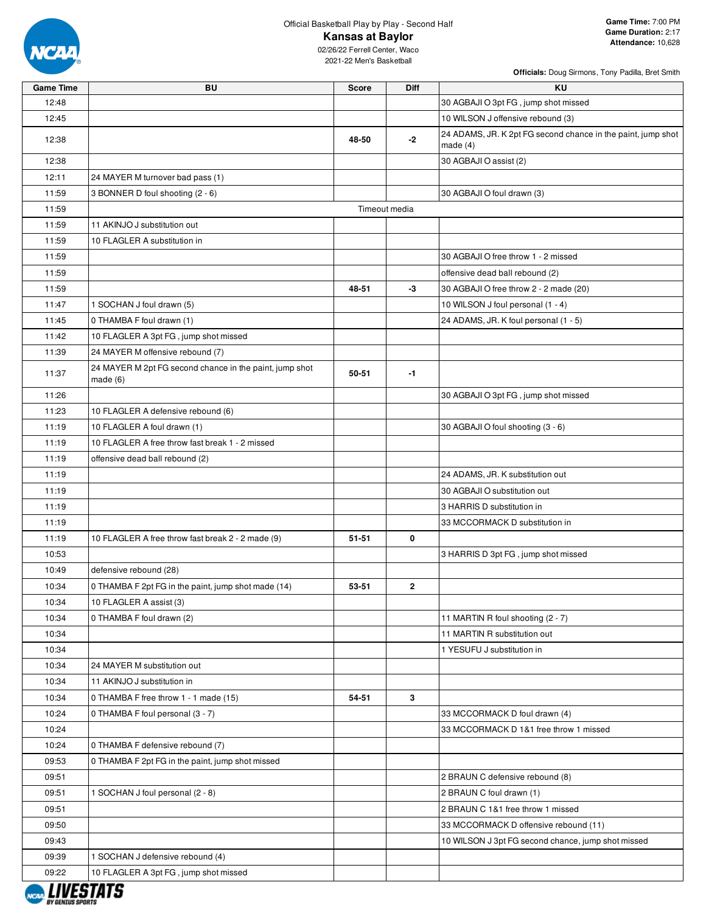

# Official Basketball Play by Play - Second Half

## **Kansas at Baylor**

02/26/22 Ferrell Center, Waco 2021-22 Men's Basketball

| <b>Game Time</b> | <b>BU</b>                                                          | <b>Score</b>  | <b>Diff</b> | <b>KU</b>                                                                  |
|------------------|--------------------------------------------------------------------|---------------|-------------|----------------------------------------------------------------------------|
| 12:48            |                                                                    |               |             | 30 AGBAJI O 3pt FG, jump shot missed                                       |
| 12:45            |                                                                    |               |             | 10 WILSON J offensive rebound (3)                                          |
| 12:38            |                                                                    | 48-50         | $-2$        | 24 ADAMS, JR. K 2pt FG second chance in the paint, jump shot<br>made $(4)$ |
| 12:38            |                                                                    |               |             | 30 AGBAJI O assist (2)                                                     |
| 12:11            | 24 MAYER M turnover bad pass (1)                                   |               |             |                                                                            |
| 11:59            | 3 BONNER D foul shooting (2 - 6)                                   |               |             | 30 AGBAJI O foul drawn (3)                                                 |
| 11:59            |                                                                    | Timeout media |             |                                                                            |
| 11:59            | 11 AKINJO J substitution out                                       |               |             |                                                                            |
| 11:59            | 10 FLAGLER A substitution in                                       |               |             |                                                                            |
| 11:59            |                                                                    |               |             | 30 AGBAJI O free throw 1 - 2 missed                                        |
| 11:59            |                                                                    |               |             | offensive dead ball rebound (2)                                            |
| 11:59            |                                                                    | 48-51         | $-3$        | 30 AGBAJI O free throw 2 - 2 made (20)                                     |
| 11:47            | 1 SOCHAN J foul drawn (5)                                          |               |             | 10 WILSON J foul personal (1 - 4)                                          |
| 11:45            | 0 THAMBA F foul drawn (1)                                          |               |             | 24 ADAMS, JR. K foul personal (1 - 5)                                      |
| 11:42            | 10 FLAGLER A 3pt FG, jump shot missed                              |               |             |                                                                            |
| 11:39            | 24 MAYER M offensive rebound (7)                                   |               |             |                                                                            |
| 11:37            | 24 MAYER M 2pt FG second chance in the paint, jump shot<br>made(6) | 50-51         | $-1$        |                                                                            |
| 11:26            |                                                                    |               |             | 30 AGBAJI O 3pt FG, jump shot missed                                       |
| 11:23            | 10 FLAGLER A defensive rebound (6)                                 |               |             |                                                                            |
| 11:19            | 10 FLAGLER A foul drawn (1)                                        |               |             | 30 AGBAJI O foul shooting (3 - 6)                                          |
| 11:19            | 10 FLAGLER A free throw fast break 1 - 2 missed                    |               |             |                                                                            |
| 11:19            | offensive dead ball rebound (2)                                    |               |             |                                                                            |
| 11:19            |                                                                    |               |             | 24 ADAMS, JR. K substitution out                                           |
| 11:19            |                                                                    |               |             | 30 AGBAJI O substitution out                                               |
| 11:19            |                                                                    |               |             | 3 HARRIS D substitution in                                                 |
| 11:19            |                                                                    |               |             | 33 MCCORMACK D substitution in                                             |
| 11:19            | 10 FLAGLER A free throw fast break 2 - 2 made (9)                  | 51-51         | 0           |                                                                            |
| 10:53            |                                                                    |               |             | 3 HARRIS D 3pt FG, jump shot missed                                        |
| 10:49            | defensive rebound (28)                                             |               |             |                                                                            |
| 10:34            | 0 THAMBA F 2pt FG in the paint, jump shot made (14)                | 53-51         | 2           |                                                                            |
| 10:34            | 10 FLAGLER A assist (3)                                            |               |             |                                                                            |
| 10:34            | 0 THAMBA F foul drawn (2)                                          |               |             | 11 MARTIN R foul shooting (2 - 7)                                          |
| 10:34            |                                                                    |               |             | 11 MARTIN R substitution out                                               |
| 10:34            |                                                                    |               |             | 1 YESUFU J substitution in                                                 |
| 10:34            | 24 MAYER M substitution out                                        |               |             |                                                                            |
| 10:34            | 11 AKINJO J substitution in                                        |               |             |                                                                            |
| 10:34            | 0 THAMBA F free throw 1 - 1 made (15)                              | 54-51         | 3           |                                                                            |
| 10:24            | 0 THAMBA F foul personal (3 - 7)                                   |               |             | 33 MCCORMACK D foul drawn (4)                                              |
| 10:24            |                                                                    |               |             | 33 MCCORMACK D 1&1 free throw 1 missed                                     |
| 10:24            | 0 THAMBA F defensive rebound (7)                                   |               |             |                                                                            |
| 09:53            | 0 THAMBA F 2pt FG in the paint, jump shot missed                   |               |             |                                                                            |
| 09:51            |                                                                    |               |             | 2 BRAUN C defensive rebound (8)                                            |
| 09:51            | 1 SOCHAN J foul personal (2 - 8)                                   |               |             | 2 BRAUN C foul drawn (1)                                                   |
| 09:51            |                                                                    |               |             | 2 BRAUN C 1&1 free throw 1 missed                                          |
| 09:50            |                                                                    |               |             | 33 MCCORMACK D offensive rebound (11)                                      |
| 09:43            |                                                                    |               |             | 10 WILSON J 3pt FG second chance, jump shot missed                         |
| 09:39            | 1 SOCHAN J defensive rebound (4)                                   |               |             |                                                                            |
| 09:22            | 10 FLAGLER A 3pt FG, jump shot missed                              |               |             |                                                                            |

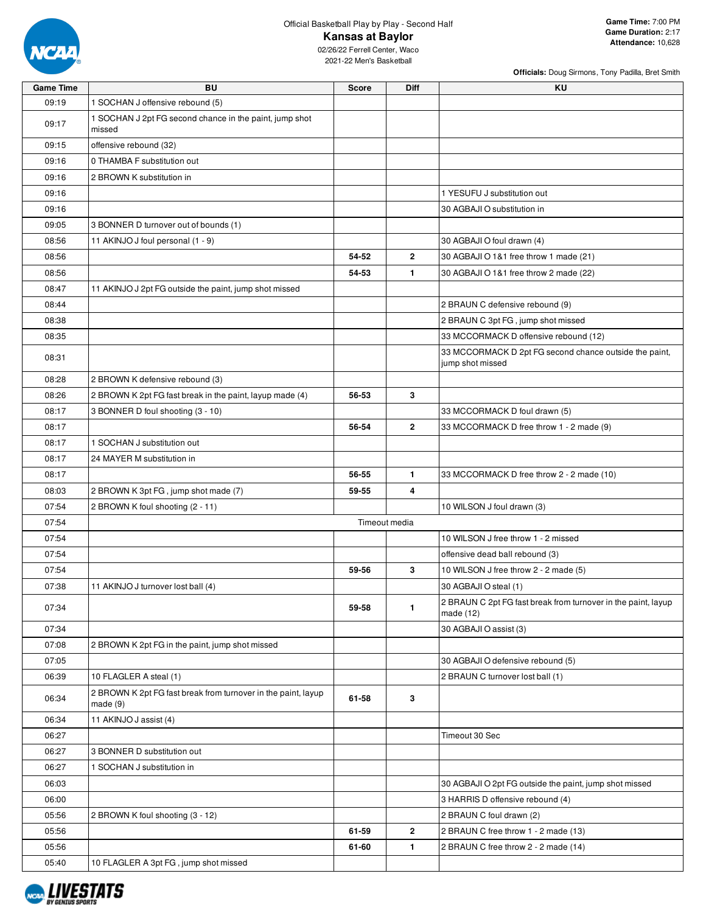

| <b>Game Time</b> | <b>BU</b>                                                                | <b>Score</b>  | Diff           | KU                                                                         |
|------------------|--------------------------------------------------------------------------|---------------|----------------|----------------------------------------------------------------------------|
| 09:19            | 1 SOCHAN J offensive rebound (5)                                         |               |                |                                                                            |
| 09:17            | 1 SOCHAN J 2pt FG second chance in the paint, jump shot<br>missed        |               |                |                                                                            |
| 09:15            | offensive rebound (32)                                                   |               |                |                                                                            |
| 09:16            | 0 THAMBA F substitution out                                              |               |                |                                                                            |
| 09:16            | 2 BROWN K substitution in                                                |               |                |                                                                            |
| 09:16            |                                                                          |               |                | 1 YESUFU J substitution out                                                |
| 09:16            |                                                                          |               |                | 30 AGBAJI O substitution in                                                |
| 09:05            | 3 BONNER D turnover out of bounds (1)                                    |               |                |                                                                            |
| 08:56            | 11 AKINJO J foul personal (1 - 9)                                        |               |                | 30 AGBAJI O foul drawn (4)                                                 |
| 08:56            |                                                                          | 54-52         | $\overline{2}$ | 30 AGBAJI O 1&1 free throw 1 made (21)                                     |
| 08:56            |                                                                          | 54-53         | $\mathbf{1}$   | 30 AGBAJI O 1&1 free throw 2 made (22)                                     |
| 08:47            | 11 AKINJO J 2pt FG outside the paint, jump shot missed                   |               |                |                                                                            |
| 08:44            |                                                                          |               |                | 2 BRAUN C defensive rebound (9)                                            |
| 08:38            |                                                                          |               |                | 2 BRAUN C 3pt FG, jump shot missed                                         |
| 08:35            |                                                                          |               |                | 33 MCCORMACK D offensive rebound (12)                                      |
| 08:31            |                                                                          |               |                | 33 MCCORMACK D 2pt FG second chance outside the paint,                     |
|                  |                                                                          |               |                | jump shot missed                                                           |
| 08:28            | 2 BROWN K defensive rebound (3)                                          |               |                |                                                                            |
| 08:26            | 2 BROWN K 2pt FG fast break in the paint, layup made (4)                 | 56-53         | 3              |                                                                            |
| 08:17            | 3 BONNER D foul shooting (3 - 10)                                        |               |                | 33 MCCORMACK D foul drawn (5)                                              |
| 08:17            |                                                                          | 56-54         | $\overline{2}$ | 33 MCCORMACK D free throw 1 - 2 made (9)                                   |
| 08:17            | 1 SOCHAN J substitution out                                              |               |                |                                                                            |
| 08:17            | 24 MAYER M substitution in                                               |               |                |                                                                            |
| 08:17            |                                                                          | 56-55         | $\mathbf{1}$   | 33 MCCORMACK D free throw 2 - 2 made (10)                                  |
| 08:03            | 2 BROWN K 3pt FG, jump shot made (7)                                     | 59-55         | 4              |                                                                            |
| 07:54            | 2 BROWN K foul shooting (2 - 11)                                         |               |                | 10 WILSON J foul drawn (3)                                                 |
| 07:54            |                                                                          | Timeout media |                |                                                                            |
| 07:54            |                                                                          |               |                | 10 WILSON J free throw 1 - 2 missed                                        |
| 07:54            |                                                                          |               |                | offensive dead ball rebound (3)                                            |
| 07:54            |                                                                          | 59-56         | 3              | 10 WILSON J free throw 2 - 2 made (5)                                      |
| 07:38            | 11 AKINJO J turnover lost ball (4)                                       |               |                | 30 AGBAJI O steal (1)                                                      |
| 07:34            |                                                                          | 59-58         | $\mathbf{1}$   | 2 BRAUN C 2pt FG fast break from turnover in the paint, layup<br>made (12) |
| 07:34            |                                                                          |               |                | 30 AGBAJI O assist (3)                                                     |
| 07:08            | 2 BROWN K 2pt FG in the paint, jump shot missed                          |               |                |                                                                            |
| 07:05            |                                                                          |               |                | 30 AGBAJI O defensive rebound (5)                                          |
| 06:39            | 10 FLAGLER A steal (1)                                                   |               |                | 2 BRAUN C turnover lost ball (1)                                           |
| 06:34            | 2 BROWN K 2pt FG fast break from turnover in the paint, layup<br>made(9) | 61-58         | 3              |                                                                            |
| 06:34            | 11 AKINJO J assist (4)                                                   |               |                |                                                                            |
| 06:27            |                                                                          |               |                | Timeout 30 Sec                                                             |
| 06:27            | 3 BONNER D substitution out                                              |               |                |                                                                            |
| 06:27            | 1 SOCHAN J substitution in                                               |               |                |                                                                            |
| 06:03            |                                                                          |               |                | 30 AGBAJI O 2pt FG outside the paint, jump shot missed                     |
| 06:00            |                                                                          |               |                | 3 HARRIS D offensive rebound (4)                                           |
| 05:56            | 2 BROWN K foul shooting (3 - 12)                                         |               |                | 2 BRAUN C foul drawn (2)                                                   |
| 05:56            |                                                                          | 61-59         | $\mathbf{2}$   | 2 BRAUN C free throw 1 - 2 made (13)                                       |
| 05:56            |                                                                          | 61-60         | $\mathbf{1}$   | 2 BRAUN C free throw 2 - 2 made (14)                                       |
| 05:40            | 10 FLAGLER A 3pt FG, jump shot missed                                    |               |                |                                                                            |

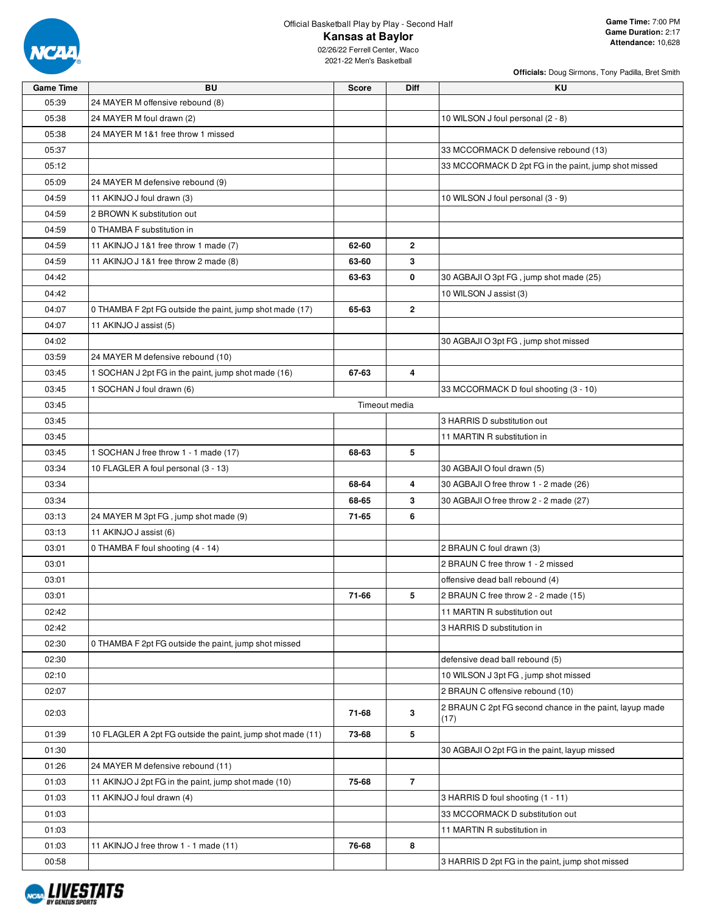

**Officials:** Doug Sirmons, Tony Padilla, Bret Smith

| <b>Game Time</b> | <b>BU</b>                                                  | <b>Score</b>  | Diff           | KU                                                              |
|------------------|------------------------------------------------------------|---------------|----------------|-----------------------------------------------------------------|
| 05:39            | 24 MAYER M offensive rebound (8)                           |               |                |                                                                 |
| 05:38            | 24 MAYER M foul drawn (2)                                  |               |                | 10 WILSON J foul personal (2 - 8)                               |
| 05:38            | 24 MAYER M 1&1 free throw 1 missed                         |               |                |                                                                 |
| 05:37            |                                                            |               |                | 33 MCCORMACK D defensive rebound (13)                           |
| 05:12            |                                                            |               |                | 33 MCCORMACK D 2pt FG in the paint, jump shot missed            |
| 05:09            | 24 MAYER M defensive rebound (9)                           |               |                |                                                                 |
| 04:59            | 11 AKINJO J foul drawn (3)                                 |               |                | 10 WILSON J foul personal (3 - 9)                               |
| 04:59            | 2 BROWN K substitution out                                 |               |                |                                                                 |
| 04:59            | 0 THAMBA F substitution in                                 |               |                |                                                                 |
| 04:59            | 11 AKINJO J 1&1 free throw 1 made (7)                      | 62-60         | $\mathbf{2}$   |                                                                 |
| 04:59            | 11 AKINJO J 1&1 free throw 2 made (8)                      | 63-60         | 3              |                                                                 |
| 04:42            |                                                            | 63-63         | 0              | 30 AGBAJI O 3pt FG, jump shot made (25)                         |
| 04:42            |                                                            |               |                | 10 WILSON J assist (3)                                          |
| 04:07            | 0 THAMBA F 2pt FG outside the paint, jump shot made (17)   | 65-63         | $\mathbf{2}$   |                                                                 |
| 04:07            | 11 AKINJO J assist (5)                                     |               |                |                                                                 |
| 04:02            |                                                            |               |                | 30 AGBAJI O 3pt FG, jump shot missed                            |
| 03:59            | 24 MAYER M defensive rebound (10)                          |               |                |                                                                 |
| 03:45            | 1 SOCHAN J 2pt FG in the paint, jump shot made (16)        | 67-63         | 4              |                                                                 |
| 03:45            | 1 SOCHAN J foul drawn (6)                                  |               |                | 33 MCCORMACK D foul shooting (3 - 10)                           |
| 03:45            |                                                            | Timeout media |                |                                                                 |
| 03:45            |                                                            |               |                | 3 HARRIS D substitution out                                     |
| 03:45            |                                                            |               |                | 11 MARTIN R substitution in                                     |
| 03:45            | 1 SOCHAN J free throw 1 - 1 made (17)                      | 68-63         | 5              |                                                                 |
| 03:34            | 10 FLAGLER A foul personal (3 - 13)                        |               |                | 30 AGBAJI O foul drawn (5)                                      |
| 03:34            |                                                            | 68-64         | 4              | 30 AGBAJI O free throw 1 - 2 made (26)                          |
| 03:34            |                                                            | 68-65         | 3              | 30 AGBAJI O free throw 2 - 2 made (27)                          |
| 03:13            | 24 MAYER M 3pt FG, jump shot made (9)                      | 71-65         | 6              |                                                                 |
| 03:13            | 11 AKINJO J assist (6)                                     |               |                |                                                                 |
| 03:01            | 0 THAMBA F foul shooting (4 - 14)                          |               |                | 2 BRAUN C foul drawn (3)                                        |
| 03:01            |                                                            |               |                | 2 BRAUN C free throw 1 - 2 missed                               |
| 03:01            |                                                            |               |                | offensive dead ball rebound (4)                                 |
| 03:01            |                                                            | 71-66         | 5              | 2 BRAUN C free throw 2 - 2 made (15)                            |
|                  |                                                            |               |                |                                                                 |
| 02:42            |                                                            |               |                | 11 MARTIN R substitution out                                    |
| 02:42            |                                                            |               |                | 3 HARRIS D substitution in                                      |
| 02:30            | 0 THAMBA F 2pt FG outside the paint, jump shot missed      |               |                |                                                                 |
| 02:30            |                                                            |               |                | defensive dead ball rebound (5)                                 |
| 02:10            |                                                            |               |                | 10 WILSON J 3pt FG, jump shot missed                            |
| 02:07            |                                                            |               |                | 2 BRAUN C offensive rebound (10)                                |
| 02:03            |                                                            | 71-68         | 3              | 2 BRAUN C 2pt FG second chance in the paint, layup made<br>(17) |
| 01:39            | 10 FLAGLER A 2pt FG outside the paint, jump shot made (11) | 73-68         | 5              |                                                                 |
| 01:30            |                                                            |               |                | 30 AGBAJI O 2pt FG in the paint, layup missed                   |
| 01:26            | 24 MAYER M defensive rebound (11)                          |               |                |                                                                 |
| 01:03            | 11 AKINJO J 2pt FG in the paint, jump shot made (10)       | 75-68         | $\overline{7}$ |                                                                 |
| 01:03            | 11 AKINJO J foul drawn (4)                                 |               |                | 3 HARRIS D foul shooting (1 - 11)                               |
| 01:03            |                                                            |               |                | 33 MCCORMACK D substitution out                                 |
| 01:03            |                                                            |               |                | 11 MARTIN R substitution in                                     |
| 01:03            | 11 AKINJO J free throw 1 - 1 made (11)                     | 76-68         | 8              |                                                                 |
| 00:58            |                                                            |               |                | 3 HARRIS D 2pt FG in the paint, jump shot missed                |

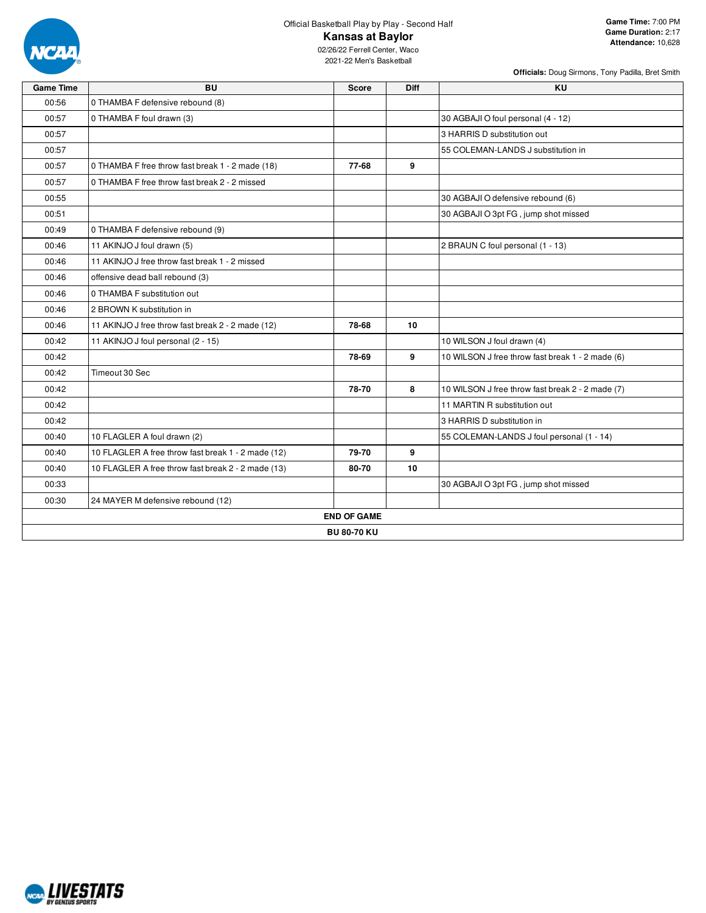

**Officials:** Doug Sirmons, Tony Padilla, Bret Smith

| <b>Game Time</b> | <b>BU</b>                                          | <b>Score</b>       | <b>Diff</b> | <b>KU</b>                                        |
|------------------|----------------------------------------------------|--------------------|-------------|--------------------------------------------------|
| 00:56            | 0 THAMBA F defensive rebound (8)                   |                    |             |                                                  |
| 00:57            | 0 THAMBA F foul drawn (3)                          |                    |             | 30 AGBAJI O foul personal (4 - 12)               |
| 00:57            |                                                    |                    |             | 3 HARRIS D substitution out                      |
| 00:57            |                                                    |                    |             | 55 COLEMAN-LANDS J substitution in               |
| 00:57            | 0 THAMBA F free throw fast break 1 - 2 made (18)   | 77-68              | 9           |                                                  |
| 00:57            | 0 THAMBA F free throw fast break 2 - 2 missed      |                    |             |                                                  |
| 00:55            |                                                    |                    |             | 30 AGBAJI O defensive rebound (6)                |
| 00:51            |                                                    |                    |             | 30 AGBAJI O 3pt FG, jump shot missed             |
| 00:49            | 0 THAMBA F defensive rebound (9)                   |                    |             |                                                  |
| 00:46            | 11 AKINJO J foul drawn (5)                         |                    |             | 2 BRAUN C foul personal (1 - 13)                 |
| 00:46            | 11 AKINJO J free throw fast break 1 - 2 missed     |                    |             |                                                  |
| 00:46            | offensive dead ball rebound (3)                    |                    |             |                                                  |
| 00:46            | 0 THAMBA F substitution out                        |                    |             |                                                  |
| 00:46            | 2 BROWN K substitution in                          |                    |             |                                                  |
| 00:46            | 11 AKINJO J free throw fast break 2 - 2 made (12)  | 78-68              | 10          |                                                  |
| 00:42            | 11 AKINJO J foul personal (2 - 15)                 |                    |             | 10 WILSON J foul drawn (4)                       |
| 00:42            |                                                    | 78-69              | 9           | 10 WILSON J free throw fast break 1 - 2 made (6) |
| 00:42            | Timeout 30 Sec                                     |                    |             |                                                  |
| 00:42            |                                                    | 78-70              | 8           | 10 WILSON J free throw fast break 2 - 2 made (7) |
| 00:42            |                                                    |                    |             | 11 MARTIN R substitution out                     |
| 00:42            |                                                    |                    |             | 3 HARRIS D substitution in                       |
| 00:40            | 10 FLAGLER A foul drawn (2)                        |                    |             | 55 COLEMAN-LANDS J foul personal (1 - 14)        |
| 00:40            | 10 FLAGLER A free throw fast break 1 - 2 made (12) | 79-70              | 9           |                                                  |
| 00:40            | 10 FLAGLER A free throw fast break 2 - 2 made (13) | 80-70              | 10          |                                                  |
| 00:33            |                                                    |                    |             | 30 AGBAJI O 3pt FG, jump shot missed             |
| 00:30            | 24 MAYER M defensive rebound (12)                  |                    |             |                                                  |
|                  |                                                    | <b>END OF GAME</b> |             |                                                  |
|                  |                                                    | <b>BU 80-70 KU</b> |             |                                                  |

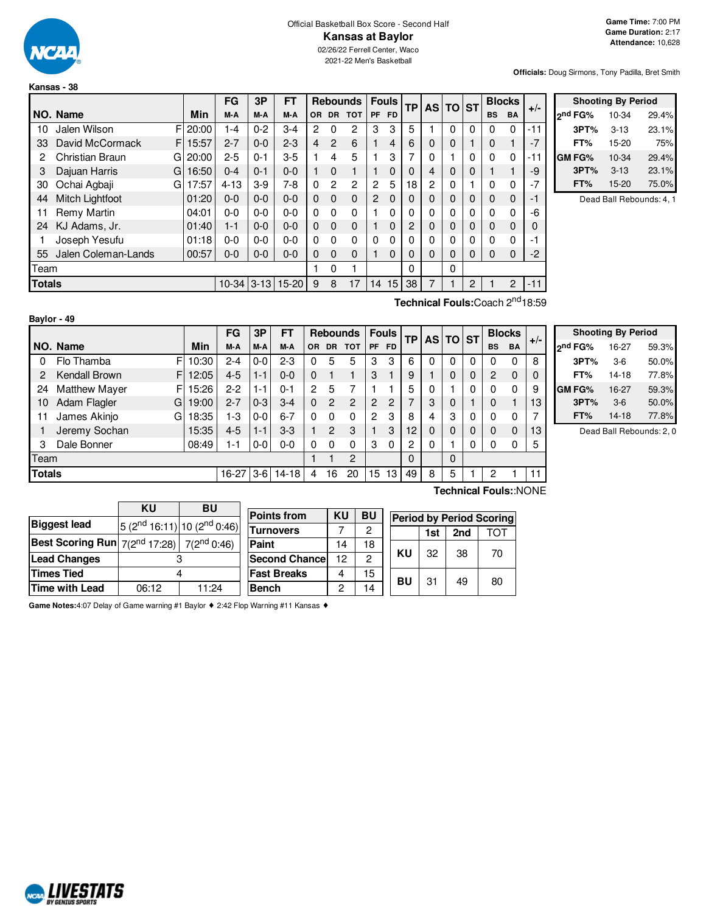

**Baylor - 49**

# Official Basketball Box Score - Second Half **Kansas at Baylor**

02/26/22 Ferrell Center, Waco 2021-22 Men's Basketball

**Officials:** Doug Sirmons, Tony Padilla, Bret Smith

|      |                                                     |       | FG       | 3P      | FT      |           |                | <b>Rebounds</b> |           | <b>Fouls</b>   |    | <b>AS TO</b>   |              | <b>ST</b> | <b>Blocks</b> |          | $+/-$ |
|------|-----------------------------------------------------|-------|----------|---------|---------|-----------|----------------|-----------------|-----------|----------------|----|----------------|--------------|-----------|---------------|----------|-------|
|      | NO. Name                                            | Min   | M-A      | M-A     | M-A     | <b>OR</b> | DR.            | <b>TOT</b>      | <b>PF</b> | <b>FD</b>      | TР |                |              |           | <b>BS</b>     | BA       |       |
| 10   | FI<br>Jalen Wilson                                  | 20:00 | $1 - 4$  | $0 - 2$ | $3-4$   | 2         | 0              | 2               | 3         | 3              | 5  |                | 0            | 0         | 0             | $\Omega$ | -11   |
| 33   | David McCormack<br>F.                               | 15:57 | $2 - 7$  | $0 - 0$ | $2 - 3$ | 4         | $\overline{2}$ | 6               |           | $\overline{4}$ | 6  | $\Omega$       | $\mathbf 0$  |           | 0             |          | $-7$  |
| 2    | Christian Braun<br>GI                               | 20:00 | $2 - 5$  | $0 - 1$ | $3-5$   |           | 4              | 5               |           | 3              | 7  | $\Omega$       | 1            | 0         | 0             | $\Omega$ | -11   |
| 3    | Dajuan Harris<br>G                                  | 16:50 | $0 - 4$  | $0 - 1$ | $0 - 0$ |           | $\Omega$       | 1               |           | $\Omega$       | 0  | 4              | 0            | 0         |               |          | -9    |
| 30   | Ochai Agbaji<br>G.                                  | 17:57 | $4 - 13$ | $3-9$   | 7-8     | $\Omega$  | $\overline{c}$ | 2               | 2         | 5              | 18 | $\overline{2}$ | $\Omega$     |           | 0             | $\Omega$ | $-7$  |
| 44   | Mitch Lightfoot                                     | 01:20 | $0 - 0$  | $0 - 0$ | $0 - 0$ | $\Omega$  | $\Omega$       | 0               | 2         | $\mathbf 0$    | 0  | $\Omega$       | 0            | 0         | 0             | $\Omega$ | $-1$  |
| 11   | Remy Martin                                         | 04:01 | $0 - 0$  | $0 - 0$ | $0 - 0$ | $\Omega$  | $\Omega$       | 0               |           | 0              | 0  | $\Omega$       | $\mathbf{0}$ | 0         | 0             | $\Omega$ | -6    |
| 24   | KJ Adams, Jr.                                       | 01:40 | $1 - 1$  | $0 - 0$ | $0 - 0$ | $\Omega$  | $\Omega$       | $\mathbf 0$     |           | $\Omega$       | 2  | $\Omega$       | $\mathbf 0$  | 0         | 0             | $\Omega$ | 0     |
|      | Joseph Yesufu                                       | 01:18 | 0-0      | $0 - 0$ | $0 - 0$ | $\Omega$  | $\Omega$       | 0               | $\Omega$  | 0              | 0  | $\Omega$       | 0            | 0         | 0             | $\Omega$ | -1    |
| 55   | Jalen Coleman-Lands                                 | 00:57 | $0 - 0$  | $0 - 0$ | $0 - 0$ | $\Omega$  | $\Omega$       | $\Omega$        |           | $\Omega$       | 0  | $\Omega$       | $\Omega$     | 0         | 0             | $\Omega$ | $-2$  |
| Team |                                                     |       |          |         |         |           | $\Omega$       |                 |           |                | 0  |                | 0            |           |               |          |       |
|      | $3 - 13$<br>$15 - 20$<br>$10 - 34$<br><b>Totals</b> |       |          |         |         |           | 8              | 17              | 14        | 15             | 38 | 7              |              | 2         |               | 2        | $-11$ |
|      | Technical Fouls: Coach 2 <sup>nd</sup> 18:59        |       |          |         |         |           |                |                 |           |                |    |                |              |           |               |          |       |

| <b>Shooting By Period</b> |         |          |       |  |  |  |  |  |  |  |  |  |
|---------------------------|---------|----------|-------|--|--|--|--|--|--|--|--|--|
|                           | ond FG% | 10-34    | 29.4% |  |  |  |  |  |  |  |  |  |
|                           | 3PT%    | $3 - 13$ | 23.1% |  |  |  |  |  |  |  |  |  |
|                           | FT%     | 15-20    | 75%   |  |  |  |  |  |  |  |  |  |
|                           | GM FG%  | 10-34    | 29.4% |  |  |  |  |  |  |  |  |  |
|                           | 3PT%    | $3 - 13$ | 23.1% |  |  |  |  |  |  |  |  |  |
|                           | FT%     | 15-20    | 75.0% |  |  |  |  |  |  |  |  |  |

Dead Ball Rebounds: 4, 1

|               |                           |       | FG      | 3P      | FT        | <b>Rebounds</b> |               |               | <b>Fouls</b>   | ТP        |                          | AS TO ST |   |   | <b>Blocks</b> |           |       |
|---------------|---------------------------|-------|---------|---------|-----------|-----------------|---------------|---------------|----------------|-----------|--------------------------|----------|---|---|---------------|-----------|-------|
|               | NO. Name                  | Min   | M-A     | M-A     | M-A       | OR.             | <b>DR</b>     | <b>TOT</b>    | <b>PF</b>      | <b>FD</b> |                          |          |   |   | <b>BS</b>     | <b>BA</b> | $+/-$ |
|               | Flo Thamba<br>F           | 10:30 | $2 - 4$ | $0-0$   | $2 - 3$   | 0               | 5             | 5             | 3              | 3         | 6                        |          |   | 0 | 0             | 0         | 8     |
| 2             | Kendall Brown<br>F        | 12:05 | $4 - 5$ | $1 - 1$ | $0 - 0$   | 0               |               |               | 3              |           | 9                        |          |   | 0 | 2             | $\Omega$  | 0     |
| 24            | <b>Matthew Mayer</b><br>F | 15:26 | $2 - 2$ | $1 - 1$ | $0 - 1$   | $\mathcal{P}$   | 5             |               |                |           | 5                        |          |   | 0 | 0             | 0         | 9     |
| 10            | Adam Flagler<br>G         | 19:00 | $2 - 7$ | $0 - 3$ | $3-4$     | $\Omega$        | $\mathcal{P}$ | $\mathcal{P}$ | $\overline{2}$ | 2         | $\overline{\phantom{0}}$ | 3        |   |   | 0             |           | 13    |
| 11            | James Akinjo<br>G         | 18:35 | $1-3$   | $0-0$   | $6 - 7$   | $\Omega$        | $\Omega$      | 0             | $\overline{2}$ | 3         | 8                        | 4        | 3 | 0 | 0             | 0         | ⇁     |
|               | Jeremy Sochan             | 15:35 | $4 - 5$ | $1 - 1$ | $3-3$     |                 | 2             | 3             |                | 3         | 12                       |          |   | 0 | 0             | $\Omega$  | 13    |
| 3             | Dale Bonner               | 08:49 | $1 - 1$ | $0-0$   | $0 - 0$   | 0               | $\Omega$      | $\Omega$      | 3              | 0         | $\overline{c}$           | 0        |   | 0 | 0             | 0         | 5     |
| Геаm          |                           |       |         |         |           |                 |               | 2             |                |           | 0                        |          | 0 |   |               |           |       |
| <b>Totals</b> |                           |       | 16-27   | $3 - 6$ | $14 - 18$ | 4               | 16            | 20            | 15             | 13        | 49                       | 8        | 5 |   | 2             |           | 11    |

|                     | <b>Shooting By Period</b> |       |
|---------------------|---------------------------|-------|
| 2 <sup>nd</sup> FG% | 16-27                     | 59.3% |
| 3PT%                | $3-6$                     | 50.0% |
| FT%                 | 14-18                     | 77.8% |
| GM FG%              | 16-27                     | 59.3% |
| 3PT%                | $3-6$                     | 50.0% |
| FT%                 | $14-18$                   | 77.8% |

Dead Ball Rebounds: 2, 0

|                       | ΚU<br>BU                                                          |                                                     |  |  |  |  |  |  |
|-----------------------|-------------------------------------------------------------------|-----------------------------------------------------|--|--|--|--|--|--|
| <b>Biggest lead</b>   |                                                                   | 5 (2 <sup>nd</sup> 16:11) 10 (2 <sup>nd</sup> 0:46) |  |  |  |  |  |  |
|                       | <b>Best Scoring Run</b> $7(2^{nd} 17:28)$ 7(2 <sup>nd</sup> 0:46) |                                                     |  |  |  |  |  |  |
| <b>Lead Changes</b>   |                                                                   |                                                     |  |  |  |  |  |  |
| <b>Times Tied</b>     |                                                                   |                                                     |  |  |  |  |  |  |
| <b>Time with Lead</b> | 06:12                                                             | 11:24                                               |  |  |  |  |  |  |

| <b>Points from</b>    | ΚU | BU |    | <b>Period b</b> |  |  |  |  |
|-----------------------|----|----|----|-----------------|--|--|--|--|
| <b>Turnovers</b>      |    | 2  |    | 19              |  |  |  |  |
| Paint                 | 14 | 18 |    |                 |  |  |  |  |
| <b>Second Chancel</b> | 12 | 2  | KU | 3               |  |  |  |  |
| <b>Fast Breaks</b>    |    | 15 | BU | З               |  |  |  |  |
| <b>Bench</b>          | 2  | 14 |    |                 |  |  |  |  |

**Technical Fouls:**:NONE

|    | <b>Period by Period Scoring</b> |     |     |  |  |  |  |  |  |  |  |  |  |  |
|----|---------------------------------|-----|-----|--|--|--|--|--|--|--|--|--|--|--|
|    | 1st                             | 2nd | TOT |  |  |  |  |  |  |  |  |  |  |  |
| ΚU | 32                              | 38  | 70  |  |  |  |  |  |  |  |  |  |  |  |
| BU | 31                              | 49  | 80  |  |  |  |  |  |  |  |  |  |  |  |

**Game Notes:**4:07 Delay of Game warning #1 Baylor ♦ 2:42 Flop Warning #11 Kansas ♦

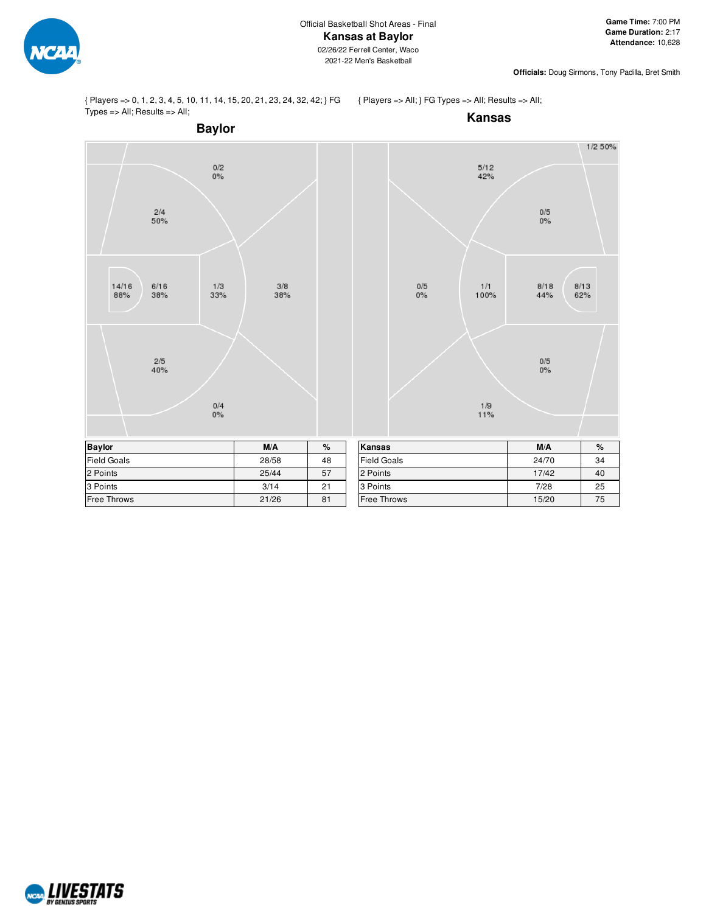

{ Players => 0, 1, 2, 3, 4, 5, 10, 11, 14, 15, 20, 21, 23, 24, 32, 42; } FG Types => All; Results => All;

{ Players => All; } FG Types => All; Results => All;



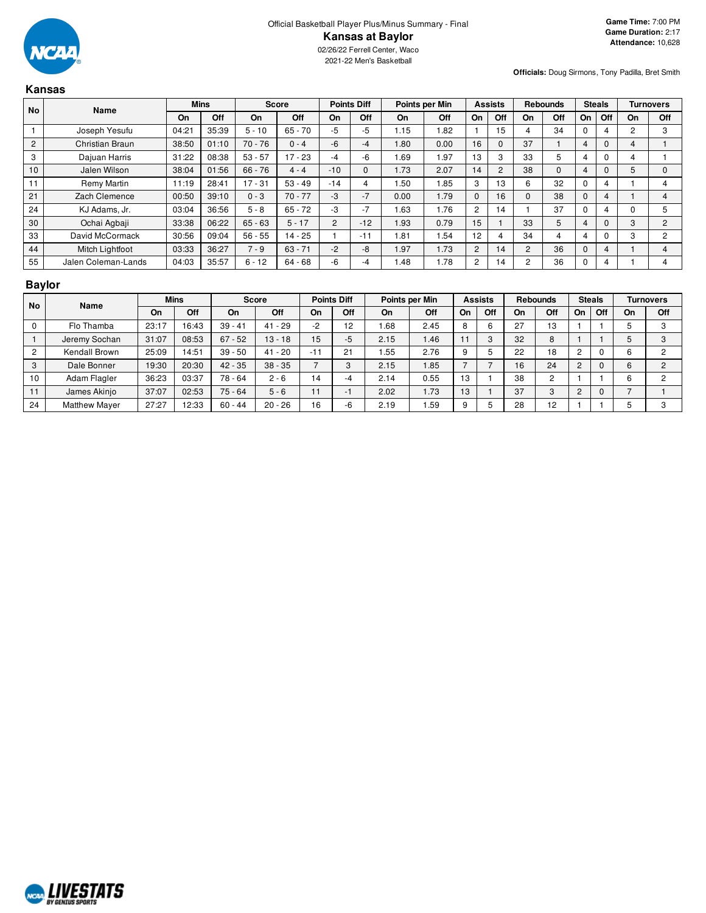

|                | Kansas                 |       |             |           |              |       |                    |      |                |             |                |                |                 |          |               |    |                  |
|----------------|------------------------|-------|-------------|-----------|--------------|-------|--------------------|------|----------------|-------------|----------------|----------------|-----------------|----------|---------------|----|------------------|
| No             | Name                   |       | <b>Mins</b> |           | <b>Score</b> |       | <b>Points Diff</b> |      | Points per Min |             | <b>Assists</b> |                | <b>Rebounds</b> |          | <b>Steals</b> |    | <b>Turnovers</b> |
|                |                        | On    | Off         | <b>On</b> | Off          | On    | Off                | On   | <b>Off</b>     | On          | Off            | On             | Off             | On       | Off           | On | Off              |
|                | Joseph Yesufu          | 04:21 | 35:39       | $5 - 10$  | 65 - 70      | -5    | -5                 | 1.15 | 1.82           |             | 15             | $\overline{4}$ | 34              | $\Omega$ | 4             | 2  | 3                |
| $\overline{2}$ | <b>Christian Braun</b> | 38:50 | 01:10       | $70 - 76$ | $0 - 4$      | $-6$  | $-4$               | .80  | 0.00           | 16          | $\mathbf{0}$   | 37             |                 | 4        | $\mathbf{0}$  | 4  |                  |
| 3              | Dajuan Harris          | 31:22 | 08:38       | $53 - 57$ | $17 - 23$    | -4    | -6                 | .69  | 1.97           | 13          | 3              | 33             | 5               | 4        | $\Omega$      | 4  |                  |
| 10             | Jalen Wilson           | 38:04 | 01:56       | $66 - 76$ | $4 - 4$      | $-10$ | $\mathbf 0$        | 1.73 | 2.07           | 14          | 2              | 38             | 0               | 4        | 0             | 5  | $\Omega$         |
| 11             | Remy Martin            | 11:19 | 28:41       | $17 - 31$ | $53 - 49$    | $-14$ | 4                  | .50  | 1.85           | 3           | 13             | 6              | 32              | $\Omega$ | 4             |    | 4                |
| 21             | Zach Clemence          | 00:50 | 39:10       | $0 - 3$   | $70 - 77$    | -3    | $-7$               | 0.00 | 1.79           | $\mathbf 0$ | 16             | $\mathbf{0}$   | 38              | 0        | 4             |    | 4                |
| 24             | KJ Adams, Jr.          | 03:04 | 36:56       | $5 - 8$   | $65 - 72$    | -3    | $-7$               | .63  | 1.76           | 2           | 14             |                | 37              | 0        | 4             | 0  | 5                |
| 30             | Ochai Agbaji           | 33:38 | 06:22       | $65 - 63$ | $5 - 17$     | 2     | $-12$              | 1.93 | 0.79           | 15          |                | 33             | 5               |          | $\Omega$      | 3  | 2                |
| 33             | David McCormack        | 30:56 | 09:04       | $56 - 55$ | $14 - 25$    |       | $-11$              | .81  | .54            | 12          | 4              | 34             | 4               | 4        | 0             | 3  | $\overline{c}$   |
| 44             | Mitch Lightfoot        | 03:33 | 36:27       | $7 - 9$   | $63 - 71$    | $-2$  | -8                 | 1.97 | 1.73           | 2           | 14             | 2              | 36              | $\Omega$ | 4             |    | 4                |
| 55             | Jalen Coleman-Lands    | 04:03 | 35:57       | $6 - 12$  | $64 - 68$    | -6    | -4                 | 1.48 | 1.78           | 2           | 14             | 2              | 36              | 0        | 4             |    | 4                |

# **Baylor**

| <b>No</b> | Name                 | <b>Mins</b> |       | <b>Score</b> |           |           | <b>Points Diff</b> |      | Points per Min |    | <b>Assists</b> |    | <b>Rebounds</b> | <b>Steals</b> |     |    | <b>Turnovers</b> |
|-----------|----------------------|-------------|-------|--------------|-----------|-----------|--------------------|------|----------------|----|----------------|----|-----------------|---------------|-----|----|------------------|
|           |                      | On          | Off   | <b>On</b>    | Off       | <b>On</b> | Off                | On   | Off            | On | Off            | On | Off             | On            | Off | On | Off              |
|           | Flo Thamba           | 23:17       | 16:43 | $39 - 41$    | $41 - 29$ | $-2$      | 12                 | .68  | 2.45           | 8  |                | 27 | 13              |               |     |    | 3                |
|           | Jeremy Sochan        | 31:07       | 08:53 | $67 - 52$    | $13 - 18$ | 15        | -5                 | 2.15 | 1.46           |    |                | 32 | 8               |               |     |    | 3                |
|           | Kendall Brown        | 25:09       | 14:51 | $39 - 50$    | $41 - 20$ | $-11$     | 21                 | .55  | 2.76           | 9  |                | 22 | 18              |               |     | h  | ◠                |
| 3         | Dale Bonner          | 19:30       | 20:30 | $42 - 35$    | $38 - 35$ |           | 3                  | 2.15 | 1.85           |    |                | 16 | 24              | ົ             |     | h  | $\overline{2}$   |
| 10        | Adam Flagler         | 36:23       | 03:37 | 78 - 64      | $2 - 6$   | 14        | -4                 | 2.14 | 0.55           | 13 |                | 38 | $\sim$          |               |     | h  | っ                |
| 11        | James Akinjo         | 37:07       | 02:53 | $75 - 64$    | $5 - 6$   | 11        | ÷                  | 2.02 | .73            | 13 |                | 37 | C               | C             | 0   |    |                  |
| 24        | <b>Matthew Mayer</b> | 27:27       | 12:33 | $60 - 44$    | $20 - 26$ | 16        | -6                 | 2.19 | .59            | 9  |                | 28 | 12              |               |     |    | ≏                |

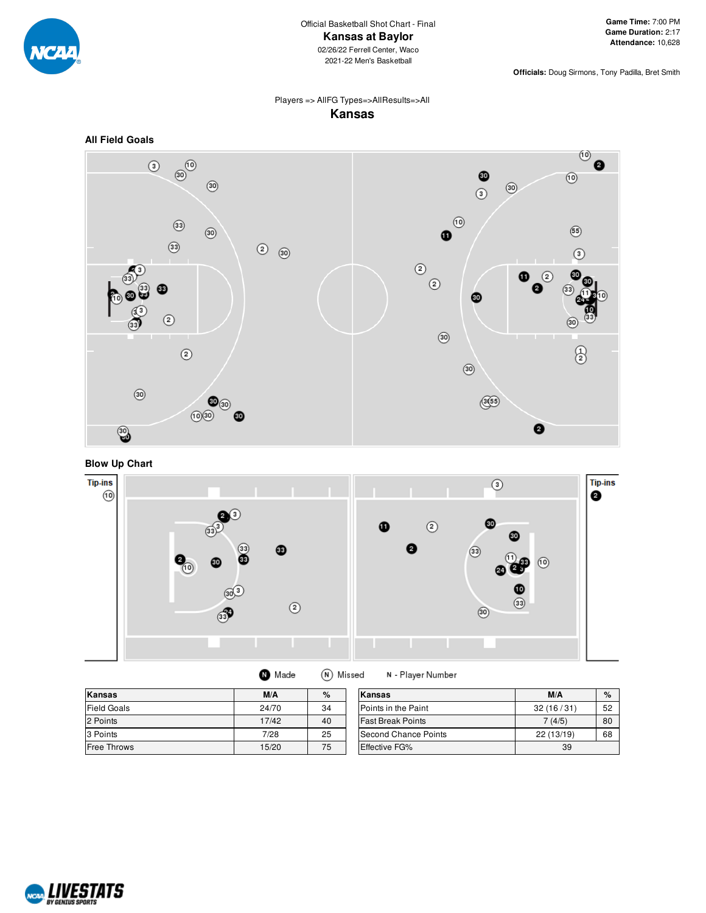

## Players => AllFG Types=>AllResults=>All **Kansas**



# **Blow Up Chart**



| Kansas             | M/A<br>%<br>Kansas |    |                          | M/A        | $\%$ |
|--------------------|--------------------|----|--------------------------|------------|------|
| Field Goals        | 24/70              | 34 | Points in the Paint      | 32(16/31)  | 52   |
| 2 Points           | 17/42              | 40 | <b>Fast Break Points</b> | 7(4/5)     | 80   |
| 3 Points           | 7/28               | 25 | Second Chance Points     | 22 (13/19) | 68   |
| <b>Free Throws</b> | 15/20              | 75 | <b>Effective FG%</b>     | 39         |      |

(N) Missed

N - Player Number

**O** Made

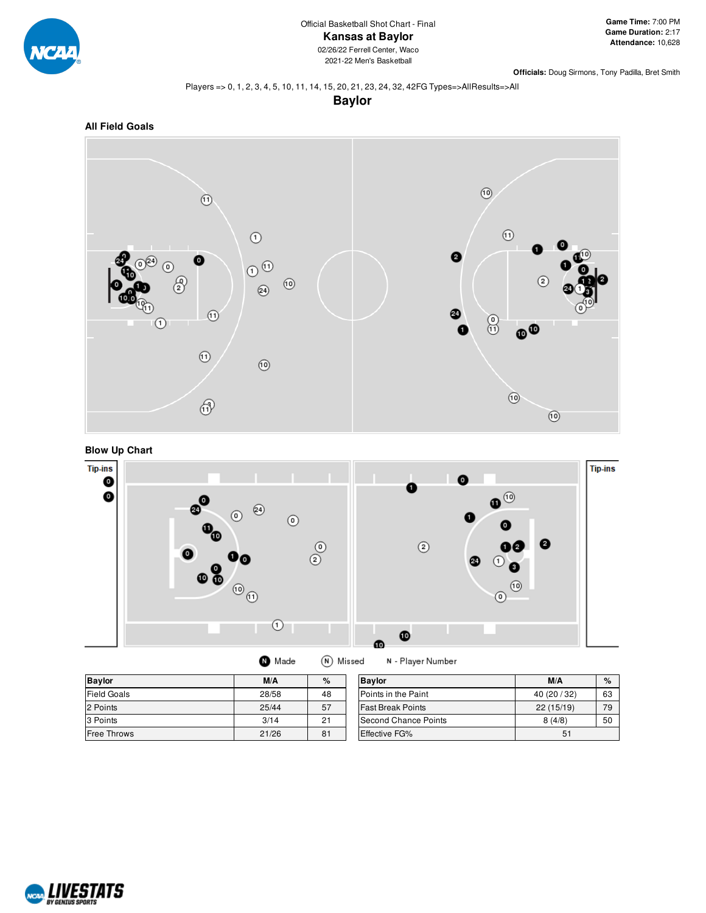

#### Players => 0, 1, 2, 3, 4, 5, 10, 11, 14, 15, 20, 21, 23, 24, 32, 42FG Types=>AllResults=>All

**Baylor**







 $\bullet$  Made (N) Missed

N - Player Number

| <b>Baylor</b>      | M/A   | %  | <b>Bavlor</b>            | M/A          | $\%$ |
|--------------------|-------|----|--------------------------|--------------|------|
| <b>Field Goals</b> | 28/58 | 48 | Points in the Paint      | 40 (20 / 32) | 63   |
| 2 Points           | 25/44 | 57 | <b>Fast Break Points</b> | 22(15/19)    | 79   |
| 3 Points           | 3/14  | 21 | Second Chance Points     | 8(4/8)       | 50   |
| <b>Free Throws</b> | 21/26 | 81 | Effective FG%            | 51           |      |

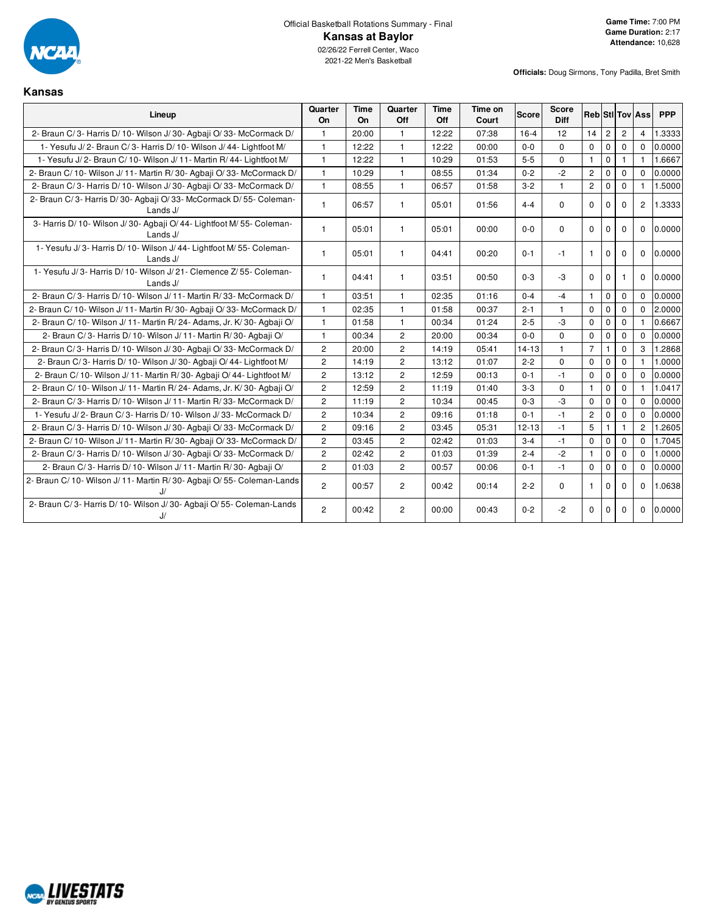

2021-22 Men's Basketball

**Kansas**

| Lineup                                                                             | Quarter<br>On  | Time<br>On | Quarter<br>Off | Time<br>Off | Time on<br>Court | <b>Score</b> | <b>Score</b><br><b>Diff</b> |                |                |                | <b>Reb</b> StIITovIAss | <b>PPP</b> |
|------------------------------------------------------------------------------------|----------------|------------|----------------|-------------|------------------|--------------|-----------------------------|----------------|----------------|----------------|------------------------|------------|
| 2- Braun C/3- Harris D/10- Wilson J/30- Agbaii O/33- McCormack D/                  |                | 20:00      | 1              | 12:22       | 07:38            | $16 - 4$     | 12                          | 14             | $\overline{c}$ | $\overline{2}$ | $\overline{4}$         | 1.3333     |
| 1- Yesufu J/2- Braun C/3- Harris D/10- Wilson J/44- Lightfoot M/                   | $\mathbf{1}$   | 12:22      | 1              | 12:22       | 00:00            | $0 - 0$      | $\mathbf 0$                 | 0              | $\mathbf 0$    | $\mathbf 0$    | $\Omega$               | 0.0000     |
| 1- Yesufu J/2- Braun C/10- Wilson J/11- Martin R/44- Lightfoot M/                  | $\mathbf{1}$   | 12:22      | 1              | 10:29       | 01:53            | $5-5$        | $\Omega$                    | $\mathbf{1}$   | $\mathbf 0$    | $\mathbf{1}$   | $\mathbf{1}$           | 1.6667     |
| 2- Braun C/10- Wilson J/11- Martin R/30- Agbaii O/33- McCormack D/                 | $\mathbf{1}$   | 10:29      | $\mathbf{1}$   | 08:55       | 01:34            | $0 - 2$      | $-2$                        | $\overline{c}$ | $\mathbf 0$    | $\mathbf{0}$   | $\mathbf{0}$           | 0.0000     |
| 2- Braun C/3- Harris D/10- Wilson J/30- Agbaji O/33- McCormack D/                  | $\mathbf{1}$   | 08:55      | $\mathbf{1}$   | 06:57       | 01:58            | $3 - 2$      | $\mathbf{1}$                | $\mathbf{2}$   | $\mathbf 0$    | $\mathbf{0}$   | $\mathbf{1}$           | 1.5000     |
| 2- Braun C/3- Harris D/30- Agbaji O/33- McCormack D/55- Coleman-<br>Lands J/       | $\mathbf{1}$   | 06:57      | $\mathbf{1}$   | 05:01       | 01:56            | $4 - 4$      | $\Omega$                    | $\mathbf 0$    | $\mathbf 0$    | $\mathbf{0}$   | $\overline{2}$         | 1.3333     |
| 3- Harris D/ 10- Wilson J/ 30- Agbaji O/ 44- Lightfoot M/ 55- Coleman-<br>Lands J/ | $\mathbf{1}$   | 05:01      | $\mathbf{1}$   | 05:01       | 00:00            | $0 - 0$      | $\mathbf 0$                 | $\mathbf 0$    | $\mathbf 0$    | $\mathbf 0$    | $\mathbf{0}$           | 0.0000     |
| 1- Yesufu J/3- Harris D/10- Wilson J/44- Lightfoot M/55- Coleman-<br>Lands J/      | 1              | 05:01      | $\mathbf{1}$   | 04:41       | 00:20            | $0 - 1$      | -1                          | $\mathbf{1}$   | $\mathbf 0$    | $\mathbf 0$    | $\mathbf{0}$           | 0.0000     |
| 1- Yesufu J/3- Harris D/10- Wilson J/21- Clemence Z/55- Coleman-<br>Lands J/       | 1              | 04:41      | 1              | 03:51       | 00:50            | $0 - 3$      | -3                          | $\Omega$       | $\mathbf 0$    | -1             | $\Omega$               | 0.0000     |
| 2- Braun C/3- Harris D/10- Wilson J/11- Martin R/33- McCormack D/                  | $\mathbf{1}$   | 03:51      | $\mathbf{1}$   | 02:35       | 01:16            | $0 - 4$      | $-4$                        | $\mathbf{1}$   | $\mathbf 0$    | $\mathbf 0$    | $\Omega$               | 0.0000     |
| 2- Braun C/10- Wilson J/11- Martin R/30- Agbaii O/33- McCormack D/                 | $\mathbf{1}$   | 02:35      | $\mathbf{1}$   | 01:58       | 00:37            | $2 - 1$      | $\mathbf{1}$                | $\mathbf 0$    | $\mathbf{0}$   | $\mathbf 0$    | $\Omega$               | 2.0000     |
| 2- Braun C/10- Wilson J/11- Martin R/24- Adams, Jr. K/30- Agbaji O/                | 1              | 01:58      | 1              | 00:34       | 01:24            | $2 - 5$      | $-3$                        | $\Omega$       | $\mathbf{0}$   | $\mathbf 0$    |                        | 0.6667     |
| 2- Braun C/3- Harris D/10- Wilson J/11- Martin R/30- Agbaji O/                     | 1              | 00:34      | $\overline{c}$ | 20:00       | 00:34            | $0-0$        | $\Omega$                    | $\mathbf 0$    | $\mathbf 0$    | $\mathbf 0$    | $\Omega$               | 0.0000     |
| 2- Braun C/3- Harris D/10- Wilson J/30- Agbaii O/33- McCormack D/                  | $\overline{c}$ | 20:00      | $\overline{2}$ | 14:19       | 05:41            | $14 - 13$    | $\mathbf{1}$                | $\overline{7}$ | $\mathbf{1}$   | $\mathbf 0$    | 3                      | 1.2868     |
| 2- Braun C/3- Harris D/10- Wilson J/30- Agbaji O/44- Lightfoot M/                  | $\overline{2}$ | 14:19      | $\overline{2}$ | 13:12       | 01:07            | $2 - 2$      | $\Omega$                    | $\Omega$       | $\mathbf{0}$   | $\Omega$       | $\mathbf{1}$           | 1.0000     |
| 2- Braun C/10- Wilson J/11- Martin R/30- Agbaji O/44- Lightfoot M/                 | $\overline{2}$ | 13:12      | $\overline{2}$ | 12:59       | 00:13            | $0 - 1$      | $-1$                        | $\mathbf 0$    | $\mathbf{0}$   | $\mathbf 0$    | $\mathbf{0}$           | 0.0000     |
| 2- Braun C/ 10- Wilson J/ 11- Martin R/ 24- Adams, Jr. K/ 30- Agbaji O/            | $\overline{2}$ | 12:59      | $\overline{2}$ | 11:19       | 01:40            | $3 - 3$      | $\Omega$                    | $\mathbf{1}$   | $\mathbf 0$    | $\Omega$       | $\mathbf{1}$           | 1.0417     |
| 2- Braun C/3- Harris D/10- Wilson J/11- Martin R/33- McCormack D/                  | $\overline{c}$ | 11:19      | $\overline{c}$ | 10:34       | 00:45            | $0 - 3$      | -3                          | $\mathbf 0$    | $\mathbf{0}$   | $\mathbf 0$    | $\Omega$               | 0.0000     |
| 1- Yesufu J/2- Braun C/3- Harris D/10- Wilson J/33- McCormack D/                   | $\overline{2}$ | 10:34      | $\overline{2}$ | 09:16       | 01:18            | $0 - 1$      | $-1$                        | $\mathbf{2}$   | $\mathbf 0$    | $\mathbf 0$    | $\Omega$               | 0.0000     |
| 2- Braun C/3- Harris D/10- Wilson J/30- Agbaji O/33- McCormack D/                  | $\overline{2}$ | 09:16      | $\overline{2}$ | 03:45       | 05:31            | $12 - 13$    | $-1$                        | 5              | $\mathbf{1}$   | $\mathbf{1}$   | $\overline{2}$         | 1.2605     |
| 2- Braun C/10- Wilson J/11- Martin R/30- Agbaii O/33- McCormack D/                 | $\overline{c}$ | 03:45      | $\overline{2}$ | 02:42       | 01:03            | $3 - 4$      | $-1$                        | 0              | $\mathbf 0$    | $\mathbf 0$    | $\Omega$               | 1.7045     |
| 2- Braun C/3- Harris D/10- Wilson J/30- Agbaji O/33- McCormack D/                  | $\overline{c}$ | 02:42      | $\overline{c}$ | 01:03       | 01:39            | $2 - 4$      | $-2$                        | $\mathbf{1}$   | $\mathbf 0$    | $\mathbf{0}$   | $\Omega$               | 1.0000     |
| 2- Braun C/3- Harris D/10- Wilson J/11- Martin R/30- Agbaji O/                     | $\overline{2}$ | 01:03      | $\overline{2}$ | 00:57       | 00:06            | $0 - 1$      | $-1$                        | $\mathbf 0$    | $\mathbf 0$    | $\mathbf 0$    | $\mathbf 0$            | 0.0000     |
| 2- Braun C/ 10- Wilson J/ 11- Martin R/ 30- Agbaji O/ 55- Coleman-Lands            | $\overline{c}$ | 00:57      | $\overline{c}$ | 00:42       | 00:14            | $2 - 2$      | $\Omega$                    | $\mathbf{1}$   | $\Omega$       | $\Omega$       | $\Omega$               | 1.0638     |
| 2- Braun C/3- Harris D/10- Wilson J/30- Agbaji O/55- Coleman-Lands<br>J/           | $\overline{c}$ | 00:42      | $\overline{c}$ | 00:00       | 00:43            | $0 - 2$      | $-2$                        | $\Omega$       | $\Omega$       | $\Omega$       | $\Omega$               | 0.0000     |

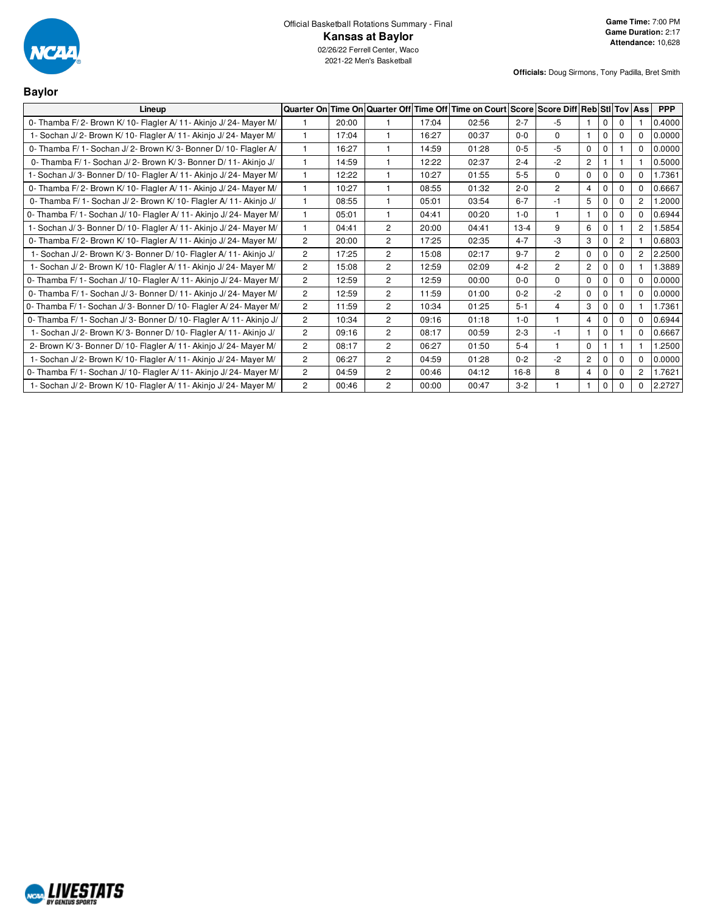

| <b>Baylor</b>                                                        |                |       |                                |       |                                                          |         |                |                |             |                |                |            |
|----------------------------------------------------------------------|----------------|-------|--------------------------------|-------|----------------------------------------------------------|---------|----------------|----------------|-------------|----------------|----------------|------------|
| Lineup                                                               |                |       | Quarter On Time On Quarter Off |       | Time Off Time on Court Score Score Diff Reb Stil Tov Ass |         |                |                |             |                |                | <b>PPP</b> |
| 0- Thamba F/2- Brown K/10- Flagler A/11- Akinjo J/24- Mayer M/       |                | 20:00 |                                | 17:04 | 02:56                                                    | $2 - 7$ | $-5$           |                | 0           | $\Omega$       |                | 0.4000     |
| 1- Sochan J/2- Brown K/10- Flagler A/11- Akinjo J/24- Mayer M/       |                | 17:04 | $\overline{1}$                 | 16:27 | 00:37                                                    | $0 - 0$ | $\Omega$       | 1              | $\mathbf 0$ | $\Omega$       | $\Omega$       | 0.0000     |
| 0- Thamba F/ 1- Sochan J/ 2- Brown K/ 3- Bonner D/ 10- Flagler A/    |                | 16:27 | $\overline{1}$                 | 14:59 | 01:28                                                    | $0 - 5$ | $-5$           | $\mathbf 0$    | 0           |                | $\mathbf 0$    | 0.0000     |
| 0- Thamba F/ 1 - Sochan J/ 2 - Brown K/ 3 - Bonner D/ 11 - Akinjo J/ |                | 14:59 | $\overline{1}$                 | 12:22 | 02:37                                                    | $2 - 4$ | $-2$           | $\overline{c}$ |             |                |                | 0.5000     |
| 1- Sochan J/3- Bonner D/10- Flagler A/11- Akinjo J/24- Mayer M/      |                | 12:22 |                                | 10:27 | 01:55                                                    | $5-5$   | $\mathbf 0$    | 0              | $\mathbf 0$ | $\Omega$       | $\Omega$       | 1.7361     |
| 0- Thamba F/2- Brown K/10- Flagler A/11- Akinjo J/24- Mayer M/       |                | 10:27 |                                | 08:55 | 01:32                                                    | $2 - 0$ | $\overline{2}$ | 4              | 0           | $\Omega$       | $\Omega$       | 0.6667     |
| 0- Thamba F/1- Sochan J/2- Brown K/10- Flagler A/11- Akinjo J/       |                | 08:55 | $\mathbf{1}$                   | 05:01 | 03:54                                                    | $6 - 7$ | $-1$           | 5              | $\mathbf 0$ | $\Omega$       | $\overline{2}$ | 1.2000     |
| 0- Thamba F/ 1- Sochan J/ 10- Flagler A/ 11- Akinjo J/ 24- Mayer M/  | 1              | 05:01 | $\mathbf{1}$                   | 04:41 | 00:20                                                    | $1 - 0$ | $\mathbf{1}$   |                | 0           | $\mathbf 0$    | $\Omega$       | 0.6944     |
| 1- Sochan J/3- Bonner D/10- Flagler A/11- Akinjo J/24- Mayer M/      |                | 04:41 | $\overline{2}$                 | 20:00 | 04:41                                                    | $13-4$  | 9              | 6              | $\mathbf 0$ |                | $\overline{2}$ | .5854      |
| 0- Thamba F/2- Brown K/10- Flagler A/11- Akinjo J/24- Mayer M/       | 2              | 20:00 | $\overline{2}$                 | 17:25 | 02:35                                                    | $4 - 7$ | -3             | 3              | $\mathbf 0$ | $\overline{2}$ |                | 0.6803     |
| 1- Sochan J/2- Brown K/3- Bonner D/10- Flagler A/11- Akinjo J/       | $\overline{2}$ | 17:25 | $\overline{2}$                 | 15:08 | 02:17                                                    | $9 - 7$ | $\overline{2}$ | 0              | $\Omega$    | $\Omega$       | $\overline{2}$ | 2.2500     |
| 1- Sochan J/2- Brown K/10- Flagler A/11- Akinjo J/24- Mayer M/       | $\overline{2}$ | 15:08 | $\overline{2}$                 | 12:59 | 02:09                                                    | $4 - 2$ | $\overline{2}$ | $\overline{c}$ | $\mathbf 0$ | $\Omega$       |                | .3889      |
| 0- Thamba F/ 1- Sochan J/ 10- Flagler A/ 11- Akinjo J/ 24- Mayer M/  | $\overline{c}$ | 12:59 | $\overline{c}$                 | 12:59 | 00:00                                                    | $0 - 0$ | $\Omega$       | 0              | 0           | 0              | 0              | 0.0000     |
| 0- Thamba F/ 1- Sochan J/ 3- Bonner D/ 11- Akinjo J/ 24- Mayer M/    | $\overline{2}$ | 12:59 | $\overline{2}$                 | 11:59 | 01:00                                                    | $0 - 2$ | $-2$           | 0              | $\mathbf 0$ |                | $\Omega$       | 0.0000     |
| 0- Thamba F/1- Sochan J/3- Bonner D/10- Flagler A/24- Mayer M/       | $\overline{2}$ | 11:59 | $\overline{2}$                 | 10:34 | 01:25                                                    | $5 - 1$ | $\overline{4}$ | 3              | $\mathbf 0$ | $\Omega$       |                | 1.7361     |
| 0- Thamba F/ 1- Sochan J/ 3- Bonner D/ 10- Flagler A/ 11- Akinjo J/  | $\overline{2}$ | 10:34 | $\overline{2}$                 | 09:16 | 01:18                                                    | $1 - 0$ | $\overline{1}$ | 4              | $\Omega$    | $\Omega$       | 0              | 0.6944     |
| 1- Sochan J/2- Brown K/3- Bonner D/10- Flagler A/11- Akinjo J/       | $\overline{2}$ | 09:16 | $\overline{2}$                 | 08:17 | 00:59                                                    | $2 - 3$ | $-1$           |                | $\mathbf 0$ |                | $\Omega$       | 0.6667     |
| 2- Brown K/3- Bonner D/10- Flagler A/11- Akinjo J/24- Mayer M/       | 2              | 08:17 | $\overline{c}$                 | 06:27 | 01:50                                                    | $5 - 4$ |                | 0              |             |                |                | 1.2500     |
| 1- Sochan J/2- Brown K/10- Flagler A/11- Akinjo J/24- Mayer M/       | $\overline{2}$ | 06:27 | $\overline{2}$                 | 04:59 | 01:28                                                    | $0 - 2$ | $-2$           | 2              | $\mathbf 0$ | $\Omega$       | 0              | 0.0000     |
| 0- Thamba F/ 1- Sochan J/ 10- Flagler A/ 11- Akinjo J/ 24- Mayer M/  | $\overline{2}$ | 04:59 | $\overline{2}$                 | 00:46 | 04:12                                                    | $16-8$  | 8              | $\overline{4}$ | 0           | $\mathbf 0$    | $\overline{2}$ | 1.7621     |
| 1- Sochan J/2- Brown K/10- Flagler A/11- Akinjo J/24- Mayer M/       | $\overline{2}$ | 00:46 | $\overline{2}$                 | 00:00 | 00:47                                                    | $3-2$   |                |                | 0           | $\Omega$       | $\Omega$       | 2.2727     |

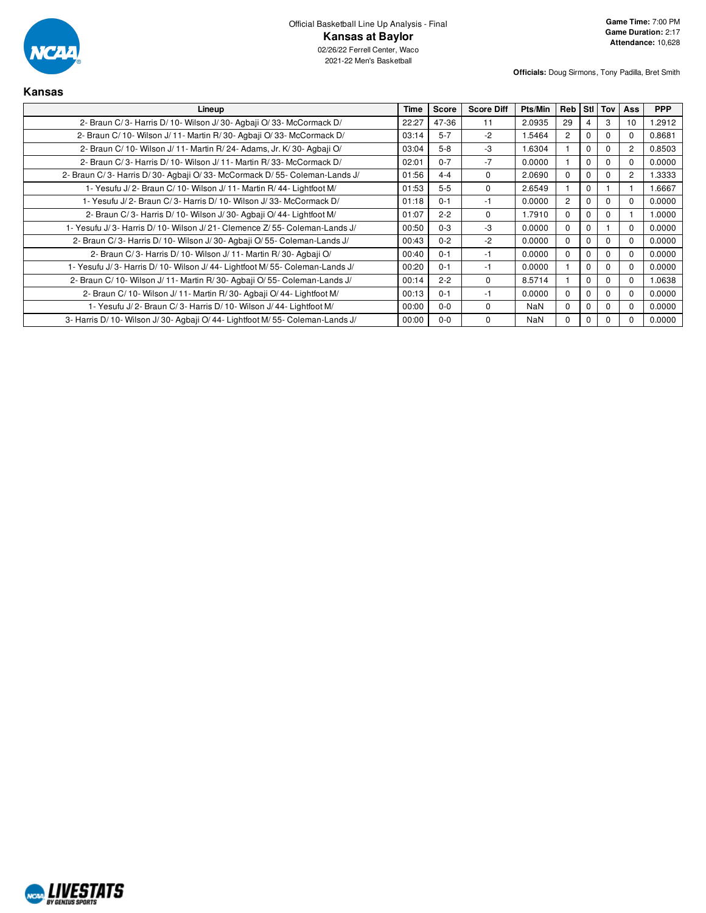

| Kansas                                                                     |       |              |                   |            |                |          |          |                |            |
|----------------------------------------------------------------------------|-------|--------------|-------------------|------------|----------------|----------|----------|----------------|------------|
| Lineup                                                                     |       | <b>Score</b> | <b>Score Diff</b> | Pts/Min    | Reb            |          | Stl Tov  | <b>Ass</b>     | <b>PPP</b> |
| 2- Braun C/3- Harris D/10- Wilson J/30- Agbaji O/33- McCormack D/          | 22:27 | 47-36        | 11                | 2.0935     | 29             |          | 3        | 10             | 1.2912     |
| 2- Braun C/ 10- Wilson J/ 11- Martin R/ 30- Agbaji O/ 33- McCormack D/     | 03:14 | $5 - 7$      | $-2$              | 1.5464     | $\overline{2}$ | C        | $\Omega$ | $\Omega$       | 0.8681     |
| 2- Braun C/ 10- Wilson J/ 11- Martin R/ 24- Adams, Jr. K/ 30- Agbaji O/    | 03:04 | $5 - 8$      | -3                | 1.6304     |                | C        | $\Omega$ | 2              | 0.8503     |
| 2- Braun C/3- Harris D/10- Wilson J/11- Martin R/33- McCormack D/          | 02:01 | $0 - 7$      | $-7$              | 0.0000     |                | C        | $\Omega$ | 0              | 0.0000     |
| 2- Braun C/3- Harris D/30- Agbaji O/33- McCormack D/55- Coleman-Lands J/   | 01:56 | $4 - 4$      | $\Omega$          | 2.0690     | $\Omega$       |          | $\Omega$ | $\overline{2}$ | 1.3333     |
| 1- Yesufu J/2- Braun C/10- Wilson J/11- Martin R/44- Lightfoot M/          | 01:53 | $5 - 5$      | $\Omega$          | 2.6549     |                | $\Omega$ |          |                | 1.6667     |
| 1- Yesufu J/2- Braun C/3- Harris D/10- Wilson J/33- McCormack D/           |       | $0 - 1$      | -1                | 0.0000     | $\overline{2}$ | n        | $\Omega$ | $\Omega$       | 0.0000     |
| 2- Braun C/3- Harris D/10- Wilson J/30- Agbaji O/44- Lightfoot M/          | 01:07 | $2 - 2$      | $\Omega$          | 1.7910     | $\Omega$       |          | $\Omega$ |                | 1.0000     |
| 1- Yesufu J/3- Harris D/10- Wilson J/21- Clemence Z/55- Coleman-Lands J/   | 00:50 | $0 - 3$      | $-3$              | 0.0000     | $\Omega$       | O        |          | $\Omega$       | 0.0000     |
| 2- Braun C/3- Harris D/10- Wilson J/30- Agbaji O/55- Coleman-Lands J/      | 00:43 | $0 - 2$      | $-2$              | 0.0000     | $\Omega$       |          | $\Omega$ | $\Omega$       | 0.0000     |
| 2- Braun C/3- Harris D/10- Wilson J/11- Martin R/30- Agbaji O/             | 00:40 | $0 - 1$      | $-1$              | 0.0000     | $\Omega$       | ſ        | $\Omega$ | $\Omega$       | 0.0000     |
| 1- Yesufu J/3- Harris D/10- Wilson J/44- Lightfoot M/55- Coleman-Lands J/  | 00:20 | $0 - 1$      | $-1$              | 0.0000     |                | C        | $\Omega$ | $\Omega$       | 0.0000     |
| 2- Braun C/10- Wilson J/11- Martin R/30- Agbaji O/55- Coleman-Lands J/     | 00:14 | $2 - 2$      | 0                 | 8.5714     |                |          | 0        | <sup>0</sup>   | 1.0638     |
| 2- Braun C/ 10- Wilson J/ 11- Martin R/ 30- Agbaji O/ 44- Lightfoot M/     | 00:13 | $0 - 1$      | $-1$              | 0.0000     | $\Omega$       |          | $\Omega$ | $\Omega$       | 0.0000     |
| 1- Yesufu J/2- Braun C/3- Harris D/10- Wilson J/44- Lightfoot M/           | 00:00 | $0 - 0$      | 0                 | <b>NaN</b> | $\Omega$       |          | $\Omega$ | $\Omega$       | 0.0000     |
| 3- Harris D/10- Wilson J/30- Agbaji O/44- Lightfoot M/55- Coleman-Lands J/ | 00:00 | $0 - 0$      | 0                 | NaN        | $\Omega$       | $\Omega$ |          |                | 0.0000     |